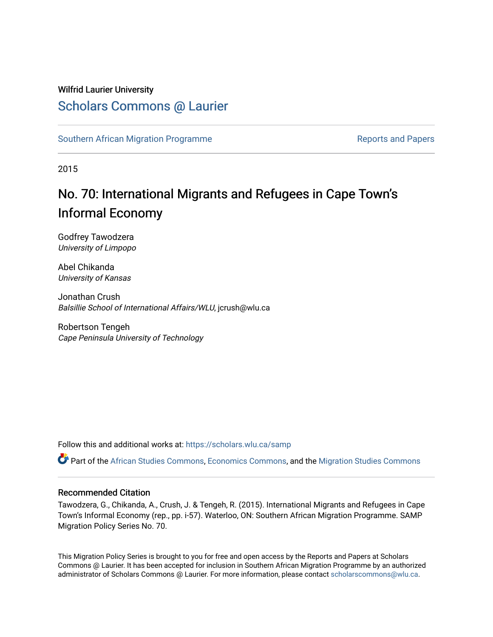#### Wilfrid Laurier University

### [Scholars Commons @ Laurier](https://scholars.wlu.ca/)

[Southern African Migration Programme](https://scholars.wlu.ca/samp) **Reports and Papers** Reports and Papers

2015

# No. 70: International Migrants and Refugees in Cape Town's Informal Economy

Godfrey Tawodzera University of Limpopo

Abel Chikanda University of Kansas

Jonathan Crush Balsillie School of International Affairs/WLU, jcrush@wlu.ca

Robertson Tengeh Cape Peninsula University of Technology

Follow this and additional works at: [https://scholars.wlu.ca/samp](https://scholars.wlu.ca/samp?utm_source=scholars.wlu.ca%2Fsamp%2F24&utm_medium=PDF&utm_campaign=PDFCoverPages) 

Part of the [African Studies Commons,](http://network.bepress.com/hgg/discipline/1043?utm_source=scholars.wlu.ca%2Fsamp%2F24&utm_medium=PDF&utm_campaign=PDFCoverPages) [Economics Commons,](http://network.bepress.com/hgg/discipline/340?utm_source=scholars.wlu.ca%2Fsamp%2F24&utm_medium=PDF&utm_campaign=PDFCoverPages) and the [Migration Studies Commons](http://network.bepress.com/hgg/discipline/1394?utm_source=scholars.wlu.ca%2Fsamp%2F24&utm_medium=PDF&utm_campaign=PDFCoverPages) 

#### Recommended Citation

Tawodzera, G., Chikanda, A., Crush, J. & Tengeh, R. (2015). International Migrants and Refugees in Cape Town's Informal Economy (rep., pp. i-57). Waterloo, ON: Southern African Migration Programme. SAMP Migration Policy Series No. 70.

This Migration Policy Series is brought to you for free and open access by the Reports and Papers at Scholars Commons @ Laurier. It has been accepted for inclusion in Southern African Migration Programme by an authorized administrator of Scholars Commons @ Laurier. For more information, please contact [scholarscommons@wlu.ca.](mailto:scholarscommons@wlu.ca)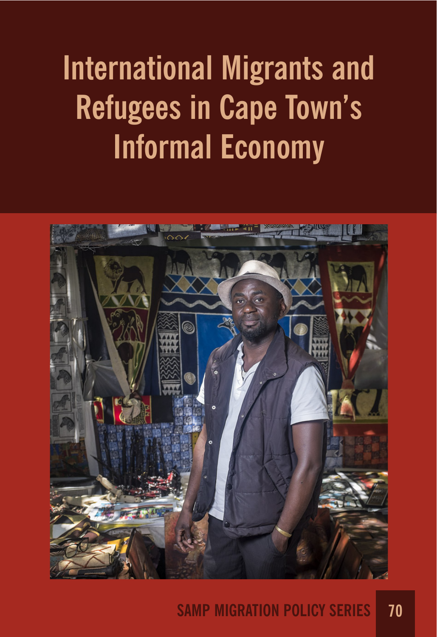# **International Migrants and Refugees in Cape Town's Informal Economy**



# **SAMP MIGRATION POLICY SERIES 70**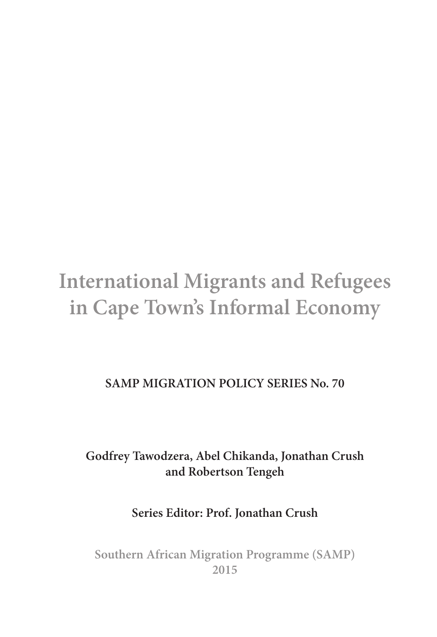# **International Migrants and Refugees in Cape Town's Informal Economy**

#### **SAMP MIGRATION POLICY SERIES No. 70**

#### **Godfrey Tawodzera, Abel Chikanda, Jonathan Crush and Robertson Tengeh**

#### **Series Editor: Prof. Jonathan Crush**

**Southern African Migration Programme (SAMP) 2015**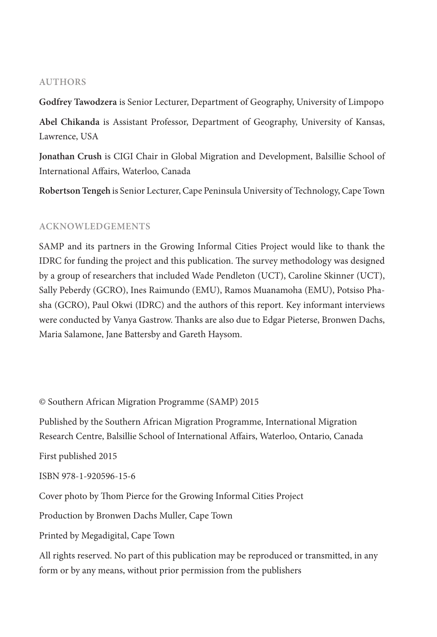#### **AUTHORS**

**Godfrey Tawodzera** is Senior Lecturer, Department of Geography, University of Limpopo

**Abel Chikanda** is Assistant Professor, Department of Geography, University of Kansas, Lawrence, USA

**Jonathan Crush** is CIGI Chair in Global Migration and Development, Balsillie School of International Affairs, Waterloo, Canada

**Robertson Tengeh** is Senior Lecturer, Cape Peninsula University of Technology, Cape Town

#### **ACKNOWLEDGEMENTS**

SAMP and its partners in the Growing Informal Cities Project would like to thank the IDRC for funding the project and this publication. The survey methodology was designed by a group of researchers that included Wade Pendleton (UCT), Caroline Skinner (UCT), Sally Peberdy (GCRO), Ines Raimundo (EMU), Ramos Muanamoha (EMU), Potsiso Phasha (GCRO), Paul Okwi (IDRC) and the authors of this report. Key informant interviews were conducted by Vanya Gastrow. Thanks are also due to Edgar Pieterse, Bronwen Dachs, Maria Salamone, Jane Battersby and Gareth Haysom.

© Southern African Migration Programme (SAMP) 2015

Published by the Southern African Migration Programme, International Migration Research Centre, Balsillie School of International A!airs, Waterloo, Ontario, Canada

First published 2015

```
ISBN 978-1-920596-15-6
```
Cover photo by Thom Pierce for the Growing Informal Cities Project

Production by Bronwen Dachs Muller, Cape Town

Printed by Megadigital, Cape Town

All rights reserved. No part of this publication may be reproduced or transmitted, in any form or by any means, without prior permission from the publishers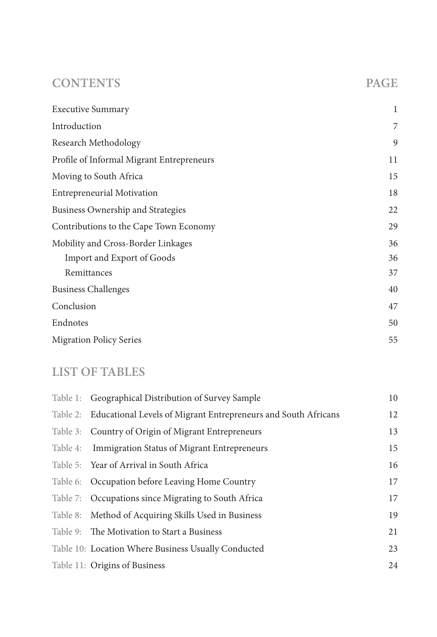#### **CONTENTS PAGE**

| <b>Executive Summary</b>                  | 1  |
|-------------------------------------------|----|
| Introduction                              | 7  |
| Research Methodology                      | 9  |
| Profile of Informal Migrant Entrepreneurs | 11 |
| Moving to South Africa                    | 15 |
| <b>Entrepreneurial Motivation</b>         | 18 |
| Business Ownership and Strategies         | 22 |
| Contributions to the Cape Town Economy    | 29 |
| Mobility and Cross-Border Linkages        | 36 |
| <b>Import and Export of Goods</b>         | 36 |
| Remittances                               | 37 |
| <b>Business Challenges</b>                | 40 |
| Conclusion                                | 47 |
| Endnotes                                  | 50 |
| <b>Migration Policy Series</b>            | 55 |

#### **LIST OF TABLES**

| Table 1: Geographical Distribution of Survey Sample                     | 10 |
|-------------------------------------------------------------------------|----|
| Table 2: Educational Levels of Migrant Entrepreneurs and South Africans | 12 |
| Table 3: Country of Origin of Migrant Entrepreneurs                     | 13 |
| Table 4: Immigration Status of Migrant Entrepreneurs                    | 15 |
| Table 5: Year of Arrival in South Africa                                | 16 |
| Table 6: Occupation before Leaving Home Country                         | 17 |
| Table 7: Occupations since Migrating to South Africa                    | 17 |
| Table 8: Method of Acquiring Skills Used in Business                    | 19 |
| Table 9: The Motivation to Start a Business                             | 21 |
| Table 10: Location Where Business Usually Conducted                     | 23 |
| Table 11: Origins of Business                                           | 24 |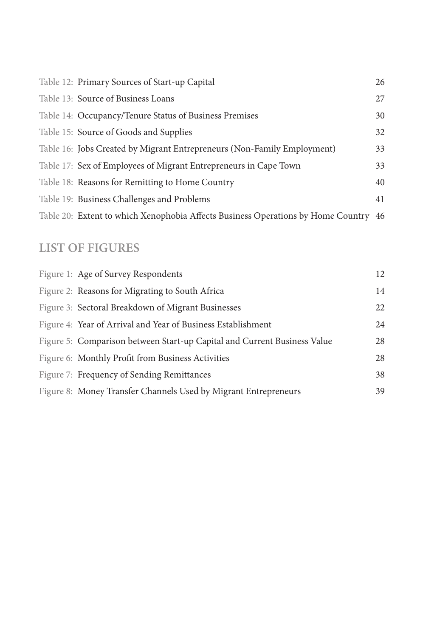| Table 12: Primary Sources of Start-up Capital                                       | 26 |
|-------------------------------------------------------------------------------------|----|
| Table 13: Source of Business Loans                                                  | 27 |
| Table 14: Occupancy/Tenure Status of Business Premises                              | 30 |
| Table 15: Source of Goods and Supplies                                              | 32 |
| Table 16: Jobs Created by Migrant Entrepreneurs (Non-Family Employment)             | 33 |
| Table 17: Sex of Employees of Migrant Entrepreneurs in Cape Town                    | 33 |
| Table 18: Reasons for Remitting to Home Country                                     | 40 |
| Table 19: Business Challenges and Problems                                          | 41 |
| Table 20: Extent to which Xenophobia Affects Business Operations by Home Country 46 |    |
|                                                                                     |    |

#### **LIST OF FIGURES**

| Figure 1: Age of Survey Respondents                                      | 12 |
|--------------------------------------------------------------------------|----|
| Figure 2: Reasons for Migrating to South Africa                          | 14 |
| Figure 3: Sectoral Breakdown of Migrant Businesses                       | 22 |
| Figure 4: Year of Arrival and Year of Business Establishment             | 24 |
| Figure 5: Comparison between Start-up Capital and Current Business Value | 28 |
| Figure 6: Monthly Profit from Business Activities                        | 28 |
| Figure 7: Frequency of Sending Remittances                               | 38 |
| Figure 8: Money Transfer Channels Used by Migrant Entrepreneurs          | 39 |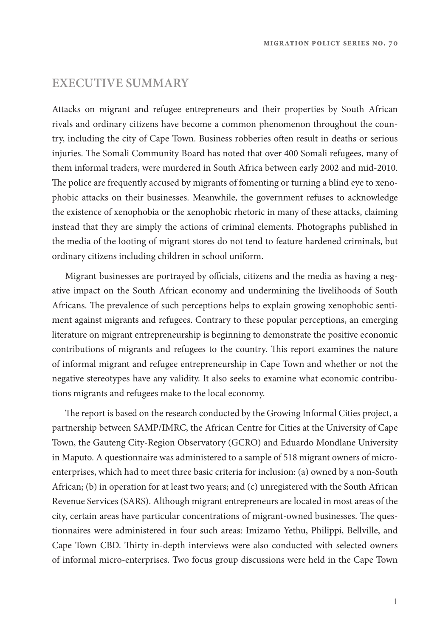#### **EXECUTIVE SUMMARY**

Attacks on migrant and refugee entrepreneurs and their properties by South African rivals and ordinary citizens have become a common phenomenon throughout the country, including the city of Cape Town. Business robberies often result in deaths or serious injuries. The Somali Community Board has noted that over 400 Somali refugees, many of them informal traders, were murdered in South Africa between early 2002 and mid-2010. The police are frequently accused by migrants of fomenting or turning a blind eye to xenophobic attacks on their businesses. Meanwhile, the government refuses to acknowledge the existence of xenophobia or the xenophobic rhetoric in many of these attacks, claiming instead that they are simply the actions of criminal elements. Photographs published in the media of the looting of migrant stores do not tend to feature hardened criminals, but ordinary citizens including children in school uniform.

Migrant businesses are portrayed by officials, citizens and the media as having a negative impact on the South African economy and undermining the livelihoods of South Africans. The prevalence of such perceptions helps to explain growing xenophobic sentiment against migrants and refugees. Contrary to these popular perceptions, an emerging literature on migrant entrepreneurship is beginning to demonstrate the positive economic contributions of migrants and refugees to the country. This report examines the nature of informal migrant and refugee entrepreneurship in Cape Town and whether or not the negative stereotypes have any validity. It also seeks to examine what economic contributions migrants and refugees make to the local economy.

The report is based on the research conducted by the Growing Informal Cities project, a partnership between SAMP/IMRC, the African Centre for Cities at the University of Cape Town, the Gauteng City-Region Observatory (GCRO) and Eduardo Mondlane University in Maputo. A questionnaire was administered to a sample of 518 migrant owners of microenterprises, which had to meet three basic criteria for inclusion: (a) owned by a non-South African; (b) in operation for at least two years; and (c) unregistered with the South African Revenue Services (SARS). Although migrant entrepreneurs are located in most areas of the city, certain areas have particular concentrations of migrant-owned businesses. The questionnaires were administered in four such areas: Imizamo Yethu, Philippi, Bellville, and Cape Town CBD. Thirty in-depth interviews were also conducted with selected owners of informal micro-enterprises. Two focus group discussions were held in the Cape Town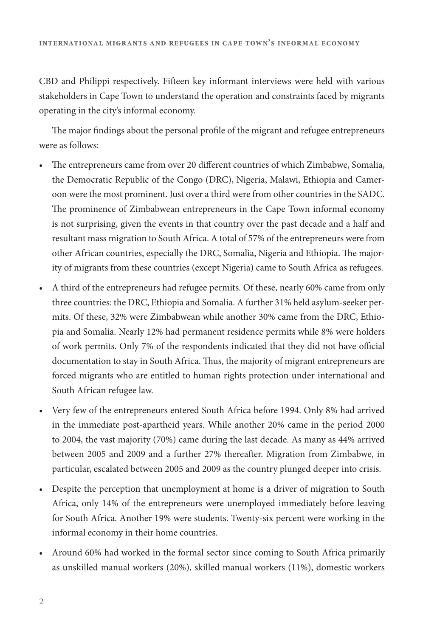CBD and Philippi respectively. Fifteen key informant interviews were held with various stakeholders in Cape Town to understand the operation and constraints faced by migrants operating in the city's informal economy.

The major findings about the personal profile of the migrant and refugee entrepreneurs were as follows:

- The entrepreneurs came from over 20 different countries of which Zimbabwe, Somalia, the Democratic Republic of the Congo (DRC), Nigeria, Malawi, Ethiopia and Cameroon were the most prominent. Just over a third were from other countries in the SADC. The prominence of Zimbabwean entrepreneurs in the Cape Town informal economy is not surprising, given the events in that country over the past decade and a half and resultant mass migration to South Africa. A total of 57% of the entrepreneurs were from other African countries, especially the DRC, Somalia, Nigeria and Ethiopia. The majority of migrants from these countries (except Nigeria) came to South Africa as refugees.
- A third of the entrepreneurs had refugee permits. Of these, nearly 60% came from only three countries: the DRC, Ethiopia and Somalia. A further 31% held asylum-seeker permits. Of these, 32% were Zimbabwean while another 30% came from the DRC, Ethiopia and Somalia. Nearly 12% had permanent residence permits while 8% were holders of work permits. Only 7% of the respondents indicated that they did not have official documentation to stay in South Africa. Thus, the majority of migrant entrepreneurs are forced migrants who are entitled to human rights protection under international and South African refugee law.
- Very few of the entrepreneurs entered South Africa before 1994. Only 8% had arrived in the immediate post-apartheid years. While another 20% came in the period 2000 to 2004, the vast majority (70%) came during the last decade. As many as 44% arrived between 2005 and 2009 and a further 27% thereafter. Migration from Zimbabwe, in particular, escalated between 2005 and 2009 as the country plunged deeper into crisis.
- Despite the perception that unemployment at home is a driver of migration to South Africa, only 14% of the entrepreneurs were unemployed immediately before leaving for South Africa. Another 19% were students. Twenty-six percent were working in the informal economy in their home countries.
- Around 60% had worked in the formal sector since coming to South Africa primarily as unskilled manual workers (20%), skilled manual workers (11%), domestic workers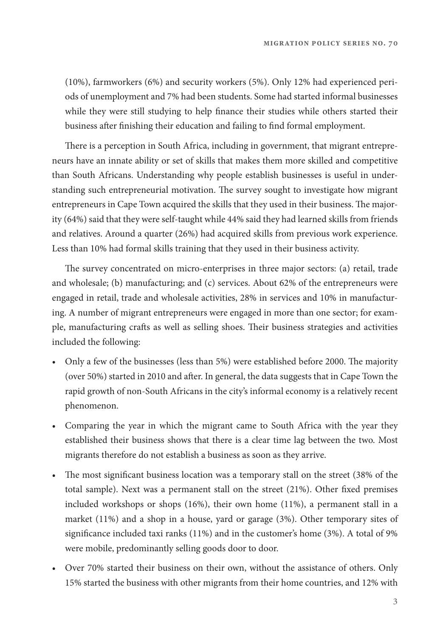(10%), farmworkers (6%) and security workers (5%). Only 12% had experienced periods of unemployment and 7% had been students. Some had started informal businesses while they were still studying to help finance their studies while others started their business after finishing their education and failing to find formal employment.

There is a perception in South Africa, including in government, that migrant entrepreneurs have an innate ability or set of skills that makes them more skilled and competitive than South Africans. Understanding why people establish businesses is useful in understanding such entrepreneurial motivation. The survey sought to investigate how migrant entrepreneurs in Cape Town acquired the skills that they used in their business. The majority (64%) said that they were self-taught while 44% said they had learned skills from friends and relatives. Around a quarter (26%) had acquired skills from previous work experience. Less than 10% had formal skills training that they used in their business activity.

The survey concentrated on micro-enterprises in three major sectors: (a) retail, trade and wholesale; (b) manufacturing; and (c) services. About 62% of the entrepreneurs were engaged in retail, trade and wholesale activities, 28% in services and 10% in manufacturing. A number of migrant entrepreneurs were engaged in more than one sector; for example, manufacturing crafts as well as selling shoes. Their business strategies and activities included the following:

- Only a few of the businesses (less than 5%) were established before 2000. The majority (over 50%) started in 2010 and after. In general, the data suggests that in Cape Town the rapid growth of non-South Africans in the city's informal economy is a relatively recent phenomenon.
- Comparing the year in which the migrant came to South Africa with the year they established their business shows that there is a clear time lag between the two. Most migrants therefore do not establish a business as soon as they arrive.
- The most significant business location was a temporary stall on the street (38% of the total sample). Next was a permanent stall on the street  $(21\%)$ . Other fixed premises included workshops or shops (16%), their own home (11%), a permanent stall in a market (11%) and a shop in a house, yard or garage (3%). Other temporary sites of significance included taxi ranks  $(11%)$  and in the customer's home  $(3%)$ . A total of 9% were mobile, predominantly selling goods door to door.
- Over 70% started their business on their own, without the assistance of others. Only 15% started the business with other migrants from their home countries, and 12% with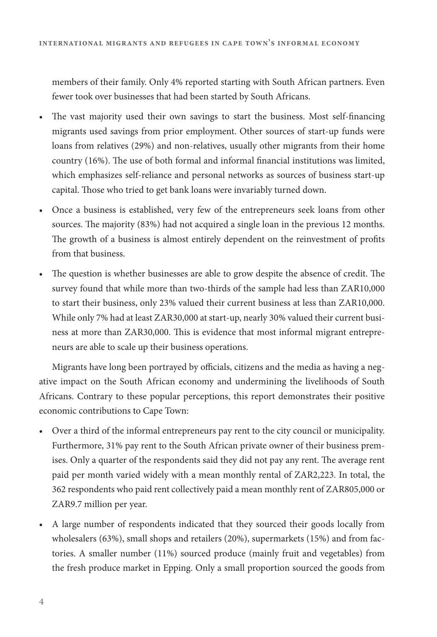members of their family. Only 4% reported starting with South African partners. Even fewer took over businesses that had been started by South Africans.

- The vast majority used their own savings to start the business. Most self-financing migrants used savings from prior employment. Other sources of start-up funds were loans from relatives (29%) and non-relatives, usually other migrants from their home country  $(16%)$ . The use of both formal and informal financial institutions was limited, which emphasizes self-reliance and personal networks as sources of business start-up capital. Those who tried to get bank loans were invariably turned down.
- Once a business is established, very few of the entrepreneurs seek loans from other sources. The majority (83%) had not acquired a single loan in the previous 12 months. The growth of a business is almost entirely dependent on the reinvestment of profits from that business.
- The question is whether businesses are able to grow despite the absence of credit. The survey found that while more than two-thirds of the sample had less than ZAR10,000 to start their business, only 23% valued their current business at less than ZAR10,000. While only 7% had at least ZAR30,000 at start-up, nearly 30% valued their current business at more than ZAR30,000. This is evidence that most informal migrant entrepreneurs are able to scale up their business operations.

Migrants have long been portrayed by officials, citizens and the media as having a negative impact on the South African economy and undermining the livelihoods of South Africans. Contrary to these popular perceptions, this report demonstrates their positive economic contributions to Cape Town:

- Over a third of the informal entrepreneurs pay rent to the city council or municipality. Furthermore, 31% pay rent to the South African private owner of their business premises. Only a quarter of the respondents said they did not pay any rent. The average rent paid per month varied widely with a mean monthly rental of ZAR2,223. In total, the 362 respondents who paid rent collectively paid a mean monthly rent of ZAR805,000 or ZAR9.7 million per year.
- A large number of respondents indicated that they sourced their goods locally from wholesalers (63%), small shops and retailers (20%), supermarkets (15%) and from factories. A smaller number (11%) sourced produce (mainly fruit and vegetables) from the fresh produce market in Epping. Only a small proportion sourced the goods from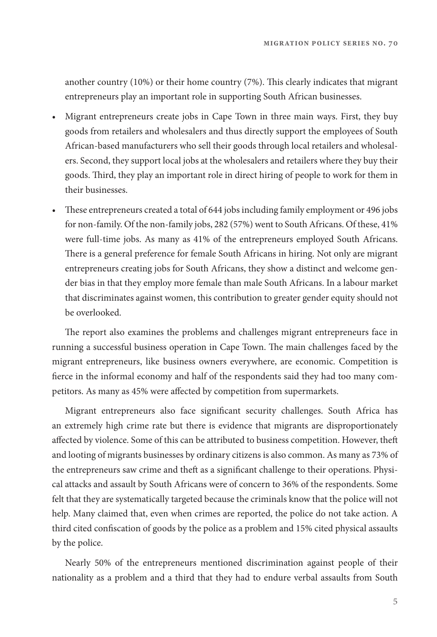another country (10%) or their home country (7%). This clearly indicates that migrant entrepreneurs play an important role in supporting South African businesses.

- Migrant entrepreneurs create jobs in Cape Town in three main ways. First, they buy goods from retailers and wholesalers and thus directly support the employees of South African-based manufacturers who sell their goods through local retailers and wholesalers. Second, they support local jobs at the wholesalers and retailers where they buy their goods. Third, they play an important role in direct hiring of people to work for them in their businesses.
- These entrepreneurs created a total of 644 jobs including family employment or 496 jobs for non-family. Of the non-family jobs, 282 (57%) went to South Africans. Of these, 41% were full-time jobs. As many as 41% of the entrepreneurs employed South Africans. There is a general preference for female South Africans in hiring. Not only are migrant entrepreneurs creating jobs for South Africans, they show a distinct and welcome gender bias in that they employ more female than male South Africans. In a labour market that discriminates against women, this contribution to greater gender equity should not be overlooked.

The report also examines the problems and challenges migrant entrepreneurs face in running a successful business operation in Cape Town. The main challenges faced by the migrant entrepreneurs, like business owners everywhere, are economic. Competition is fierce in the informal economy and half of the respondents said they had too many competitors. As many as 45% were affected by competition from supermarkets.

Migrant entrepreneurs also face significant security challenges. South Africa has an extremely high crime rate but there is evidence that migrants are disproportionately affected by violence. Some of this can be attributed to business competition. However, theft and looting of migrants businesses by ordinary citizens is also common. As many as 73% of the entrepreneurs saw crime and theft as a significant challenge to their operations. Physical attacks and assault by South Africans were of concern to 36% of the respondents. Some felt that they are systematically targeted because the criminals know that the police will not help. Many claimed that, even when crimes are reported, the police do not take action. A third cited confiscation of goods by the police as a problem and 15% cited physical assaults by the police.

Nearly 50% of the entrepreneurs mentioned discrimination against people of their nationality as a problem and a third that they had to endure verbal assaults from South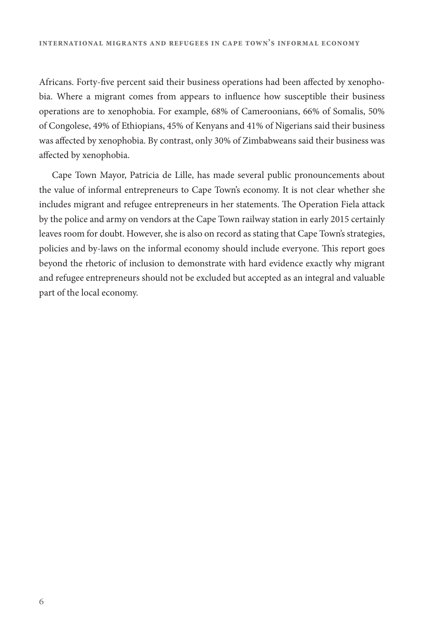Africans. Forty-five percent said their business operations had been affected by xenophobia. Where a migrant comes from appears to influence how susceptible their business operations are to xenophobia. For example, 68% of Cameroonians, 66% of Somalis, 50% of Congolese, 49% of Ethiopians, 45% of Kenyans and 41% of Nigerians said their business was affected by xenophobia. By contrast, only 30% of Zimbabweans said their business was affected by xenophobia.

Cape Town Mayor, Patricia de Lille, has made several public pronouncements about the value of informal entrepreneurs to Cape Town's economy. It is not clear whether she includes migrant and refugee entrepreneurs in her statements. The Operation Fiela attack by the police and army on vendors at the Cape Town railway station in early 2015 certainly leaves room for doubt. However, she is also on record as stating that Cape Town's strategies, policies and by-laws on the informal economy should include everyone. This report goes beyond the rhetoric of inclusion to demonstrate with hard evidence exactly why migrant and refugee entrepreneurs should not be excluded but accepted as an integral and valuable part of the local economy.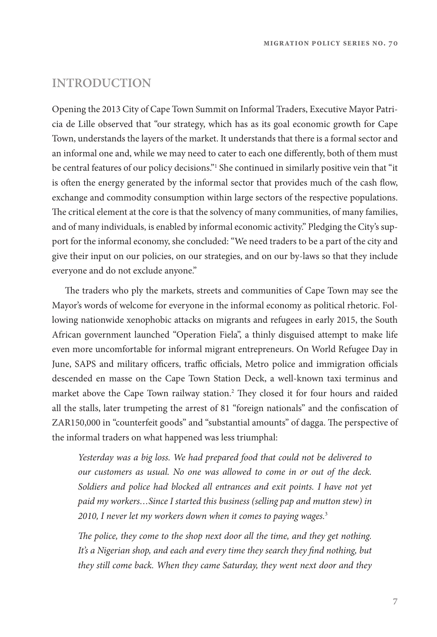#### **INTRODUCTION**

Opening the 2013 City of Cape Town Summit on Informal Traders, Executive Mayor Patricia de Lille observed that "our strategy, which has as its goal economic growth for Cape Town, understands the layers of the market. It understands that there is a formal sector and an informal one and, while we may need to cater to each one differently, both of them must be central features of our policy decisions."1 She continued in similarly positive vein that "it is often the energy generated by the informal sector that provides much of the cash flow, exchange and commodity consumption within large sectors of the respective populations. The critical element at the core is that the solvency of many communities, of many families, and of many individuals, is enabled by informal economic activity." Pledging the City's support for the informal economy, she concluded: "We need traders to be a part of the city and give their input on our policies, on our strategies, and on our by-laws so that they include everyone and do not exclude anyone."

The traders who ply the markets, streets and communities of Cape Town may see the Mayor's words of welcome for everyone in the informal economy as political rhetoric. Following nationwide xenophobic attacks on migrants and refugees in early 2015, the South African government launched "Operation Fiela", a thinly disguised attempt to make life even more uncomfortable for informal migrant entrepreneurs. On World Refugee Day in June, SAPS and military officers, traffic officials, Metro police and immigration officials descended en masse on the Cape Town Station Deck, a well-known taxi terminus and market above the Cape Town railway station.<sup>2</sup> They closed it for four hours and raided all the stalls, later trumpeting the arrest of 81 "foreign nationals" and the confiscation of ZAR150,000 in "counterfeit goods" and "substantial amounts" of dagga. The perspective of the informal traders on what happened was less triumphal:

Yesterday was a big loss. We had prepared food that could not be delivered to our customers as usual. No one was allowed to come in or out of the deck. Soldiers and police had blocked all entrances and exit points. I have not yet paid my workers…Since I started this business (selling pap and mutton stew) in 2010, I never let my workers down when it comes to paying wages.<sup>3</sup>

The police, they come to the shop next door all the time, and they get nothing. It's a Nigerian shop, and each and every time they search they find nothing, but they still come back. When they came Saturday, they went next door and they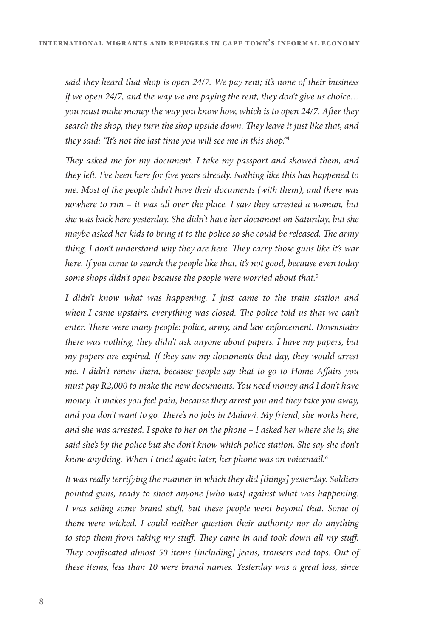said they heard that shop is open 24/7. We pay rent; it's none of their business if we open 24/7, and the way we are paying the rent, they don't give us choice… you must make money the way you know how, which is to open 24/7. After they search the shop, they turn the shop upside down. They leave it just like that, and they said: "It's not the last time you will see me in this shop."<sup>4</sup>

They asked me for my document. I take my passport and showed them, and they left. I've been here for five years already. Nothing like this has happened to me. Most of the people didn't have their documents (with them), and there was nowhere to run – it was all over the place. I saw they arrested a woman, but she was back here yesterday. She didn't have her document on Saturday, but she maybe asked her kids to bring it to the police so she could be released. The army thing, I don't understand why they are here. They carry those guns like it's war here. If you come to search the people like that, it's not good, because even today some shops didn't open because the people were worried about that.<sup>5</sup>

I didn't know what was happening. I just came to the train station and when I came upstairs, everything was closed. The police told us that we can't enter. There were many people: police, army, and law enforcement. Downstairs there was nothing, they didn't ask anyone about papers. I have my papers, but my papers are expired. If they saw my documents that day, they would arrest me. I didn't renew them, because people say that to go to Home Affairs you must pay R2,000 to make the new documents. You need money and I don't have money. It makes you feel pain, because they arrest you and they take you away, and you don't want to go. There's no jobs in Malawi. My friend, she works here, and she was arrested. I spoke to her on the phone – I asked her where she is; she said she's by the police but she don't know which police station. She say she don't know anything. When I tried again later, her phone was on voicemail.<sup>6</sup>

It was really terrifying the manner in which they did [things] yesterday. Soldiers pointed guns, ready to shoot anyone [who was] against what was happening. I was selling some brand stuff, but these people went beyond that. Some of them were wicked. I could neither question their authority nor do anything to stop them from taking my stuff. They came in and took down all my stuff. They confiscated almost 50 items [including] jeans, trousers and tops. Out of these items, less than 10 were brand names. Yesterday was a great loss, since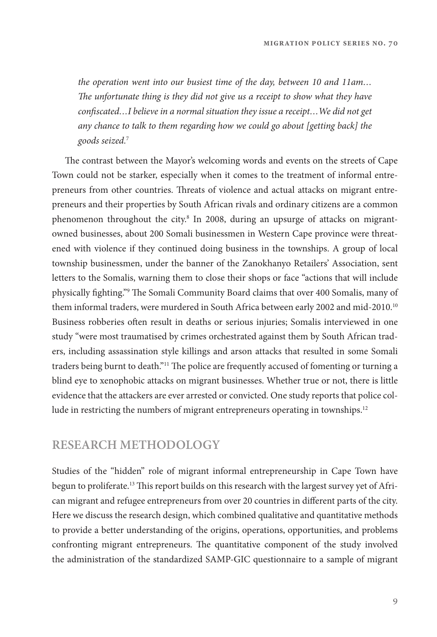the operation went into our busiest time of the day, between 10 and 11am… The unfortunate thing is they did not give us a receipt to show what they have confiscated...I believe in a normal situation they issue a receipt... We did not get any chance to talk to them regarding how we could go about [getting back] the goods seized.<sup>7</sup>

The contrast between the Mayor's welcoming words and events on the streets of Cape Town could not be starker, especially when it comes to the treatment of informal entrepreneurs from other countries. Threats of violence and actual attacks on migrant entrepreneurs and their properties by South African rivals and ordinary citizens are a common phenomenon throughout the city.<sup>8</sup> In 2008, during an upsurge of attacks on migrantowned businesses, about 200 Somali businessmen in Western Cape province were threatened with violence if they continued doing business in the townships. A group of local township businessmen, under the banner of the Zanokhanyo Retailers' Association, sent letters to the Somalis, warning them to close their shops or face "actions that will include physically fighting."<sup>9</sup> The Somali Community Board claims that over 400 Somalis, many of them informal traders, were murdered in South Africa between early 2002 and mid-2010.10 Business robberies often result in deaths or serious injuries; Somalis interviewed in one study "were most traumatised by crimes orchestrated against them by South African traders, including assassination style killings and arson attacks that resulted in some Somali traders being burnt to death."<sup>11</sup> The police are frequently accused of fomenting or turning a blind eye to xenophobic attacks on migrant businesses. Whether true or not, there is little evidence that the attackers are ever arrested or convicted. One study reports that police collude in restricting the numbers of migrant entrepreneurs operating in townships.<sup>12</sup>

#### **RESEARCH METHODOLOGY**

Studies of the "hidden" role of migrant informal entrepreneurship in Cape Town have begun to proliferate.<sup>13</sup> This report builds on this research with the largest survey yet of African migrant and refugee entrepreneurs from over 20 countries in different parts of the city. Here we discuss the research design, which combined qualitative and quantitative methods to provide a better understanding of the origins, operations, opportunities, and problems confronting migrant entrepreneurs. The quantitative component of the study involved the administration of the standardized SAMP-GIC questionnaire to a sample of migrant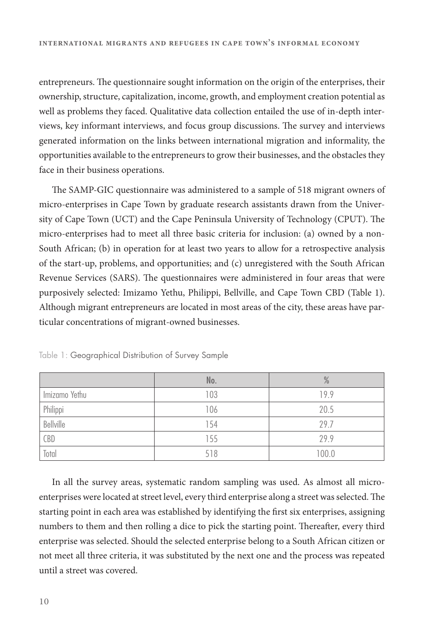entrepreneurs. The questionnaire sought information on the origin of the enterprises, their ownership, structure, capitalization, income, growth, and employment creation potential as well as problems they faced. Qualitative data collection entailed the use of in-depth interviews, key informant interviews, and focus group discussions. The survey and interviews generated information on the links between international migration and informality, the opportunities available to the entrepreneurs to grow their businesses, and the obstacles they face in their business operations.

The SAMP-GIC questionnaire was administered to a sample of 518 migrant owners of micro-enterprises in Cape Town by graduate research assistants drawn from the University of Cape Town (UCT) and the Cape Peninsula University of Technology (CPUT). The micro-enterprises had to meet all three basic criteria for inclusion: (a) owned by a non-South African; (b) in operation for at least two years to allow for a retrospective analysis of the start-up, problems, and opportunities; and (c) unregistered with the South African Revenue Services (SARS). The questionnaires were administered in four areas that were purposively selected: Imizamo Yethu, Philippi, Bellville, and Cape Town CBD (Table 1). Although migrant entrepreneurs are located in most areas of the city, these areas have particular concentrations of migrant-owned businesses.

|               | No. | $\%$  |
|---------------|-----|-------|
| Imizamo Yethu | 103 | 19.9  |
| Philippi      | 106 | 20.5  |
| Bellville     | 154 | 29.7  |
| CBD           | 155 | 29.9  |
| Total         | 518 | 100.0 |

Table 1: Geographical Distribution of Survey Sample

In all the survey areas, systematic random sampling was used. As almost all microenterprises were located at street level, every third enterprise along a street was selected. The starting point in each area was established by identifying the first six enterprises, assigning numbers to them and then rolling a dice to pick the starting point. Thereafter, every third enterprise was selected. Should the selected enterprise belong to a South African citizen or not meet all three criteria, it was substituted by the next one and the process was repeated until a street was covered.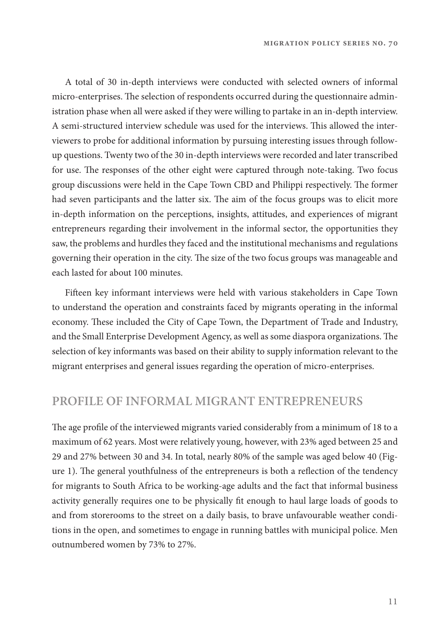A total of 30 in-depth interviews were conducted with selected owners of informal micro-enterprises. The selection of respondents occurred during the questionnaire administration phase when all were asked if they were willing to partake in an in-depth interview. A semi-structured interview schedule was used for the interviews. "is allowed the interviewers to probe for additional information by pursuing interesting issues through followup questions. Twenty two of the 30 in-depth interviews were recorded and later transcribed for use. The responses of the other eight were captured through note-taking. Two focus group discussions were held in the Cape Town CBD and Philippi respectively. The former had seven participants and the latter six. The aim of the focus groups was to elicit more in-depth information on the perceptions, insights, attitudes, and experiences of migrant entrepreneurs regarding their involvement in the informal sector, the opportunities they saw, the problems and hurdles they faced and the institutional mechanisms and regulations governing their operation in the city. The size of the two focus groups was manageable and each lasted for about 100 minutes.

Fifteen key informant interviews were held with various stakeholders in Cape Town to understand the operation and constraints faced by migrants operating in the informal economy. These included the City of Cape Town, the Department of Trade and Industry, and the Small Enterprise Development Agency, as well as some diaspora organizations. The selection of key informants was based on their ability to supply information relevant to the migrant enterprises and general issues regarding the operation of micro-enterprises.

#### **PROFILE OF INFORMAL MIGRANT ENTREPRENEURS**

The age profile of the interviewed migrants varied considerably from a minimum of 18 to a maximum of 62 years. Most were relatively young, however, with 23% aged between 25 and 29 and 27% between 30 and 34. In total, nearly 80% of the sample was aged below 40 (Figure 1). The general youthfulness of the entrepreneurs is both a reflection of the tendency for migrants to South Africa to be working-age adults and the fact that informal business activity generally requires one to be physically fit enough to haul large loads of goods to and from storerooms to the street on a daily basis, to brave unfavourable weather conditions in the open, and sometimes to engage in running battles with municipal police. Men outnumbered women by 73% to 27%.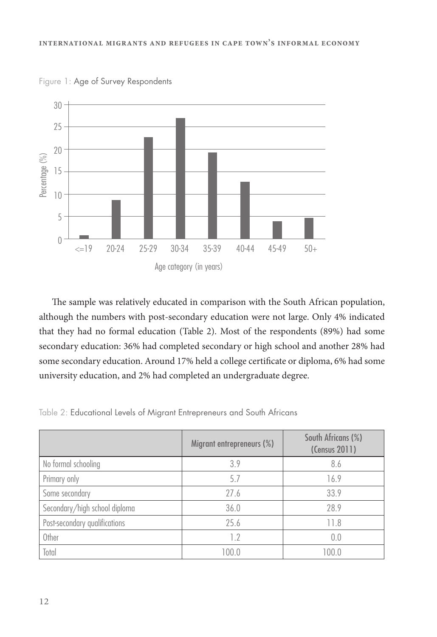

Figure 1: Age of Survey Respondents

The sample was relatively educated in comparison with the South African population, although the numbers with post-secondary education were not large. Only 4% indicated that they had no formal education (Table 2). Most of the respondents (89%) had some secondary education: 36% had completed secondary or high school and another 28% had some secondary education. Around 17% held a college certificate or diploma, 6% had some university education, and 2% had completed an undergraduate degree.

Table 2: Educational Levels of Migrant Entrepreneurs and South Africans

|                               | Migrant entrepreneurs (%) | South Africans (%)<br>(Census 2011) |
|-------------------------------|---------------------------|-------------------------------------|
| No formal schooling           | 3.9                       | 8.6                                 |
| Primary only                  | 5.7                       | 16.9                                |
| Some secondary                | 27.6                      | 33.9                                |
| Secondary/high school diploma | 36.0                      | 28.9                                |
| Post-secondary qualifications | 25.6                      | 11.8                                |
| Other                         | 1.2                       | 0.0                                 |
| Total                         | 100.0                     | 100.0                               |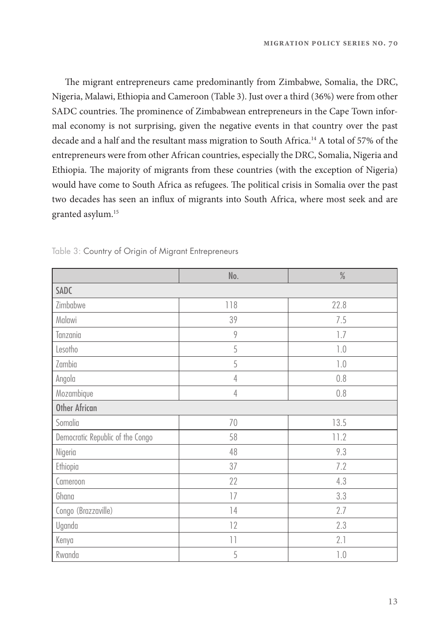The migrant entrepreneurs came predominantly from Zimbabwe, Somalia, the DRC, Nigeria, Malawi, Ethiopia and Cameroon (Table 3). Just over a third (36%) were from other SADC countries. The prominence of Zimbabwean entrepreneurs in the Cape Town informal economy is not surprising, given the negative events in that country over the past decade and a half and the resultant mass migration to South Africa.14 A total of 57% of the entrepreneurs were from other African countries, especially the DRC, Somalia, Nigeria and Ethiopia. The majority of migrants from these countries (with the exception of Nigeria) would have come to South Africa as refugees. The political crisis in Somalia over the past two decades has seen an influx of migrants into South Africa, where most seek and are granted asylum.15

|                                  | No.             | $\frac{0}{0}$   |  |
|----------------------------------|-----------------|-----------------|--|
| <b>SADC</b>                      |                 |                 |  |
| Zimbabwe                         | 118             | 22.8            |  |
| Malawi                           | 39              | 7.5             |  |
| Tanzania                         | 9               | 1.7             |  |
| Lesotho                          | 5               | $1.0\,$         |  |
| Zambia                           | 5               | $1.0\,$         |  |
| Angola                           | $\overline{4}$  | 0.8             |  |
| Mozambique                       | $\overline{4}$  | 0.8             |  |
| <b>Other African</b>             |                 |                 |  |
| Somalia                          | 70              | 13.5            |  |
| Democratic Republic of the Congo | 58              | 11.2            |  |
| Nigeria                          | 48              | 9.3             |  |
| Ethiopia                         | 37              | 7.2             |  |
| Cameroon                         | 22              | 4.3             |  |
| Ghana                            | 17              | 3.3             |  |
| Congo (Brazzaville)              | 14              | 2.7             |  |
| Uganda                           | 12              | 2.3             |  |
| Kenya                            | $\overline{11}$ | 2.1             |  |
| Rwanda                           | 5               | $\mathcal{V}$ . |  |

Table 3: Country of Origin of Migrant Entrepreneurs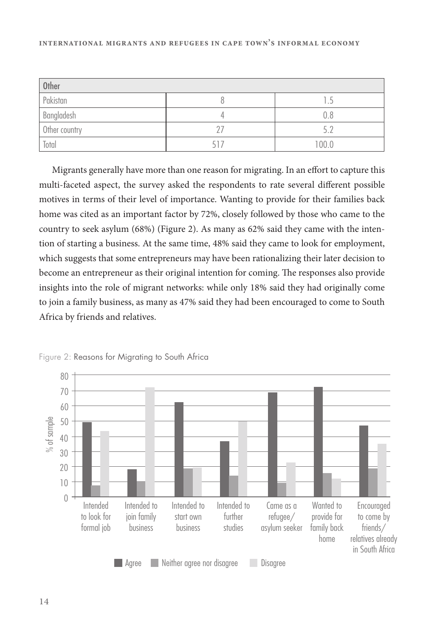| <b>Other</b>  |    |       |
|---------------|----|-------|
| Pakistan      |    |       |
| Bangladesh    |    | 0.8   |
| Other country |    | 57    |
| Total         | 51 | 100.0 |

Migrants generally have more than one reason for migrating. In an effort to capture this multi-faceted aspect, the survey asked the respondents to rate several different possible motives in terms of their level of importance. Wanting to provide for their families back home was cited as an important factor by 72%, closely followed by those who came to the country to seek asylum (68%) (Figure 2). As many as 62% said they came with the intention of starting a business. At the same time, 48% said they came to look for employment, which suggests that some entrepreneurs may have been rationalizing their later decision to become an entrepreneur as their original intention for coming. The responses also provide insights into the role of migrant networks: while only 18% said they had originally come to join a family business, as many as 47% said they had been encouraged to come to South Africa by friends and relatives.



Figure 2: Reasons for Migrating to South Africa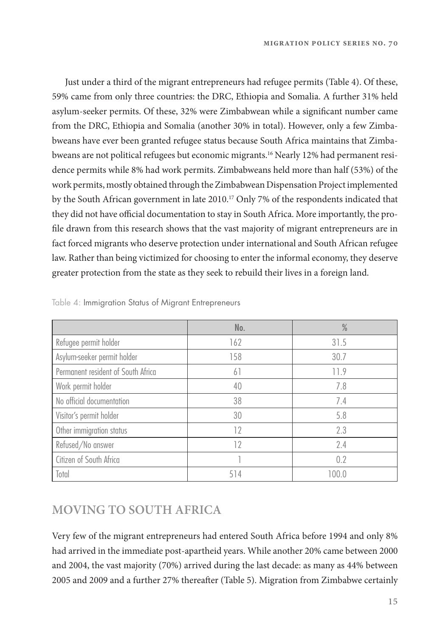Just under a third of the migrant entrepreneurs had refugee permits (Table 4). Of these, 59% came from only three countries: the DRC, Ethiopia and Somalia. A further 31% held asylum-seeker permits. Of these, 32% were Zimbabwean while a significant number came from the DRC, Ethiopia and Somalia (another 30% in total). However, only a few Zimbabweans have ever been granted refugee status because South Africa maintains that Zimbabweans are not political refugees but economic migrants.16 Nearly 12% had permanent residence permits while 8% had work permits. Zimbabweans held more than half (53%) of the work permits, mostly obtained through the Zimbabwean Dispensation Project implemented by the South African government in late 2010.<sup>17</sup> Only 7% of the respondents indicated that they did not have official documentation to stay in South Africa. More importantly, the profile drawn from this research shows that the vast majority of migrant entrepreneurs are in fact forced migrants who deserve protection under international and South African refugee law. Rather than being victimized for choosing to enter the informal economy, they deserve greater protection from the state as they seek to rebuild their lives in a foreign land.

|                                    | No. | $\frac{0}{0}$ |
|------------------------------------|-----|---------------|
| Refugee permit holder              | 162 | 31.5          |
| Asylum-seeker permit holder        | 158 | 30.7          |
| Permanent resident of South Africa | 61  | 11.9          |
| Work permit holder                 | 40  | 7.8           |
| No official documentation          | 38  | 7.4           |
| Visitor's permit holder            | 30  | 5.8           |
| Other immigration status           | 12  | 2.3           |
| Refused/No answer                  | 12  | 2.4           |
| Citizen of South Africa            |     | 0.2           |
| Total                              | 514 | 100.0         |

Table 4: Immigration Status of Migrant Entrepreneurs

#### **MOVING TO SOUTH AFRICA**

Very few of the migrant entrepreneurs had entered South Africa before 1994 and only 8% had arrived in the immediate post-apartheid years. While another 20% came between 2000 and 2004, the vast majority (70%) arrived during the last decade: as many as 44% between 2005 and 2009 and a further 27% thereafter (Table 5). Migration from Zimbabwe certainly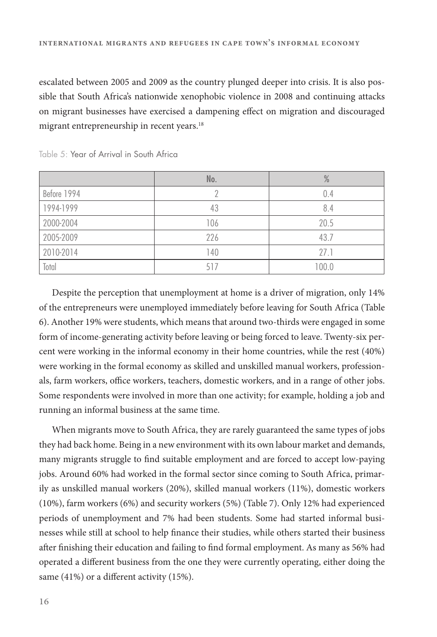escalated between 2005 and 2009 as the country plunged deeper into crisis. It is also possible that South Africa's nationwide xenophobic violence in 2008 and continuing attacks on migrant businesses have exercised a dampening effect on migration and discouraged migrant entrepreneurship in recent years.<sup>18</sup>

|             | No. | $\%$  |
|-------------|-----|-------|
| Before 1994 |     | 0.4   |
| 1994-1999   | 43  | 8.4   |
| 2000-2004   | 106 | 20.5  |
| 2005-2009   | 226 | 43.7  |
| 2010-2014   | 140 | 27.1  |
| Total       | 517 | 100.0 |

Table 5: Year of Arrival in South Africa

Despite the perception that unemployment at home is a driver of migration, only 14% of the entrepreneurs were unemployed immediately before leaving for South Africa (Table 6). Another 19% were students, which means that around two-thirds were engaged in some form of income-generating activity before leaving or being forced to leave. Twenty-six percent were working in the informal economy in their home countries, while the rest (40%) were working in the formal economy as skilled and unskilled manual workers, professionals, farm workers, office workers, teachers, domestic workers, and in a range of other jobs. Some respondents were involved in more than one activity; for example, holding a job and running an informal business at the same time.

When migrants move to South Africa, they are rarely guaranteed the same types of jobs they had back home. Being in a new environment with its own labour market and demands, many migrants struggle to find suitable employment and are forced to accept low-paying jobs. Around 60% had worked in the formal sector since coming to South Africa, primarily as unskilled manual workers (20%), skilled manual workers (11%), domestic workers (10%), farm workers (6%) and security workers (5%) (Table 7). Only 12% had experienced periods of unemployment and 7% had been students. Some had started informal businesses while still at school to help finance their studies, while others started their business after finishing their education and failing to find formal employment. As many as 56% had operated a different business from the one they were currently operating, either doing the same  $(41\%)$  or a different activity  $(15\%).$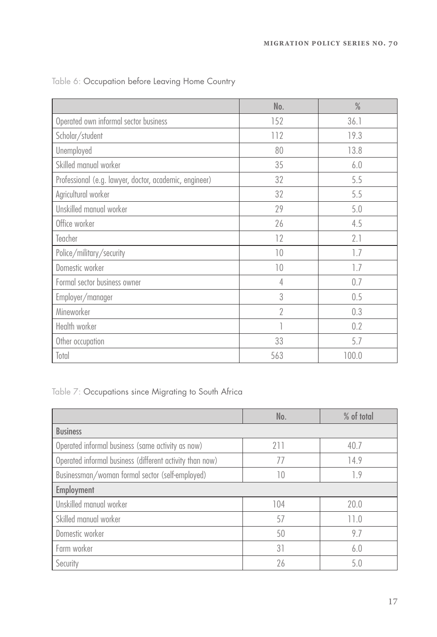|                                                        | No.            | $\frac{0}{0}$ |
|--------------------------------------------------------|----------------|---------------|
| Operated own informal sector business                  | 152            | 36.1          |
| Scholar/student                                        | 112            | 19.3          |
| Unemployed                                             | 80             | 13.8          |
| Skilled manual worker                                  | 35             | 6.0           |
| Professional (e.g. lawyer, doctor, academic, engineer) | 32             | 5.5           |
| Agricultural worker                                    | 32             | 5.5           |
| Unskilled manual worker                                | 29             | 5.0           |
| Office worker                                          | 26             | 4.5           |
| Teacher                                                | 12             | 2.1           |
| Police/military/security                               | 10             | 1.7           |
| Domestic worker                                        | 10             | 1.7           |
| Formal sector business owner                           | $\overline{4}$ | 0.7           |
| Employer/manager                                       | 3              | 0.5           |
| Mineworker                                             | $\overline{2}$ | 0.3           |
| Health worker                                          |                | 0.2           |
| Other occupation                                       | 33             | 5.7           |
| Total                                                  | 563            | 100.0         |

Table 6: Occupation before Leaving Home Country

Table 7: Occupations since Migrating to South Africa

|                                                          | No. | % of total |
|----------------------------------------------------------|-----|------------|
| <b>Business</b>                                          |     |            |
| Operated informal business (same activity as now)        | 211 | 40.7       |
| Operated informal business (different activity than now) | 77  | 14.9       |
| Businessman/woman formal sector (self-employed)          | 10  | 1.9        |
| Employment                                               |     |            |
| Unskilled manual worker                                  | 104 | 20.0       |
| Skilled manual worker                                    | 57  | 11.0       |
| Domestic worker                                          | 50  | 9.7        |
| Farm worker                                              | 31  | 6.0        |
| Security                                                 | 26  | 5.0        |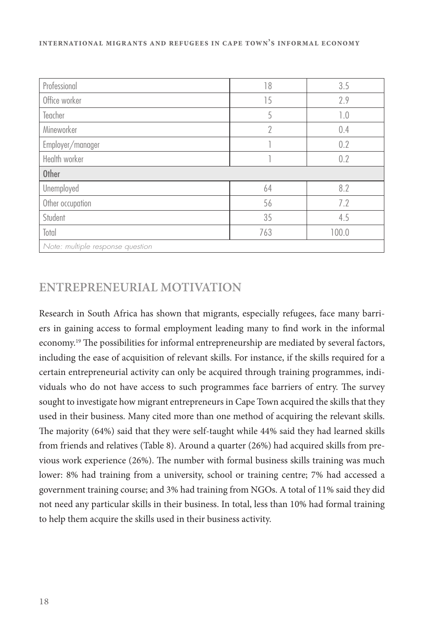| Professional                     | 18             | 3.5   |  |
|----------------------------------|----------------|-------|--|
| Office worker                    | 15             | 2.9   |  |
| Teacher                          | 5              | 1.0   |  |
| Mineworker                       | $\overline{2}$ | 0.4   |  |
| Employer/manager                 |                | 0.2   |  |
| Health worker                    |                | 0.2   |  |
| <b>Other</b>                     |                |       |  |
| Unemployed                       | 64             | 8.2   |  |
| Other occupation                 | 56             | 7.2   |  |
| Student                          | 35             | 4.5   |  |
| Total                            | 763            | 100.0 |  |
| Note: multiple response question |                |       |  |

#### **ENTREPRENEURIAL MOTIVATION**

Research in South Africa has shown that migrants, especially refugees, face many barriers in gaining access to formal employment leading many to find work in the informal economy.<sup>19</sup> The possibilities for informal entrepreneurship are mediated by several factors, including the ease of acquisition of relevant skills. For instance, if the skills required for a certain entrepreneurial activity can only be acquired through training programmes, individuals who do not have access to such programmes face barriers of entry. The survey sought to investigate how migrant entrepreneurs in Cape Town acquired the skills that they used in their business. Many cited more than one method of acquiring the relevant skills. The majority (64%) said that they were self-taught while 44% said they had learned skills from friends and relatives (Table 8). Around a quarter (26%) had acquired skills from previous work experience  $(26%)$ . The number with formal business skills training was much lower: 8% had training from a university, school or training centre; 7% had accessed a government training course; and 3% had training from NGOs. A total of 11% said they did not need any particular skills in their business. In total, less than 10% had formal training to help them acquire the skills used in their business activity.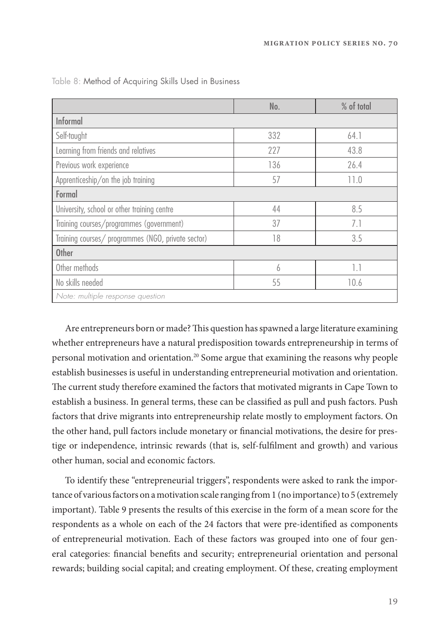|                                                    | No. | % of total       |  |  |
|----------------------------------------------------|-----|------------------|--|--|
| Informal                                           |     |                  |  |  |
| Self-taught                                        | 332 | 64.1             |  |  |
| Learning from friends and relatives                | 227 | 43.8             |  |  |
| Previous work experience                           | 136 | 26.4             |  |  |
| Apprenticeship/on the job training                 | 57  | 11.0             |  |  |
| Formal                                             |     |                  |  |  |
| University, school or other training centre        | 44  | 8.5              |  |  |
| Training courses/programmes (government)           | 37  | 7.1              |  |  |
| Training courses/ programmes (NGO, private sector) | 18  | 3.5              |  |  |
| <b>Other</b>                                       |     |                  |  |  |
| Other methods                                      | 6   | $\overline{1.1}$ |  |  |
| No skills needed                                   | 55  | 10.6             |  |  |
| Note: multiple response question                   |     |                  |  |  |

Table 8: Method of Acquiring Skills Used in Business

Are entrepreneurs born or made? This question has spawned a large literature examining whether entrepreneurs have a natural predisposition towards entrepreneurship in terms of personal motivation and orientation.20 Some argue that examining the reasons why people establish businesses is useful in understanding entrepreneurial motivation and orientation. The current study therefore examined the factors that motivated migrants in Cape Town to establish a business. In general terms, these can be classified as pull and push factors. Push factors that drive migrants into entrepreneurship relate mostly to employment factors. On the other hand, pull factors include monetary or financial motivations, the desire for prestige or independence, intrinsic rewards (that is, self-fulfilment and growth) and various other human, social and economic factors.

To identify these "entrepreneurial triggers", respondents were asked to rank the importance of various factors on a motivation scale ranging from 1 (no importance) to 5 (extremely important). Table 9 presents the results of this exercise in the form of a mean score for the respondents as a whole on each of the 24 factors that were pre-identified as components of entrepreneurial motivation. Each of these factors was grouped into one of four general categories: financial benefits and security; entrepreneurial orientation and personal rewards; building social capital; and creating employment. Of these, creating employment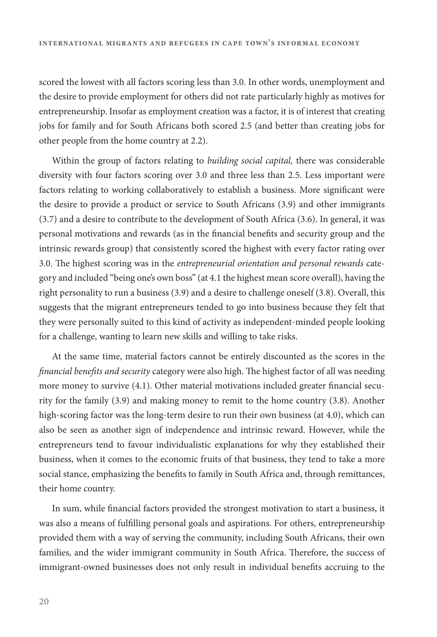scored the lowest with all factors scoring less than 3.0. In other words, unemployment and the desire to provide employment for others did not rate particularly highly as motives for entrepreneurship. Insofar as employment creation was a factor, it is of interest that creating jobs for family and for South Africans both scored 2.5 (and better than creating jobs for other people from the home country at 2.2).

Within the group of factors relating to building social capital, there was considerable diversity with four factors scoring over 3.0 and three less than 2.5. Less important were factors relating to working collaboratively to establish a business. More significant were the desire to provide a product or service to South Africans (3.9) and other immigrants (3.7) and a desire to contribute to the development of South Africa (3.6). In general, it was personal motivations and rewards (as in the financial benefits and security group and the intrinsic rewards group) that consistently scored the highest with every factor rating over 3.0. The highest scoring was in the entrepreneurial orientation and personal rewards category and included "being one's own boss" (at 4.1 the highest mean score overall), having the right personality to run a business (3.9) and a desire to challenge oneself (3.8). Overall, this suggests that the migrant entrepreneurs tended to go into business because they felt that they were personally suited to this kind of activity as independent-minded people looking for a challenge, wanting to learn new skills and willing to take risks.

At the same time, material factors cannot be entirely discounted as the scores in the financial benefits and security category were also high. The highest factor of all was needing more money to survive  $(4.1)$ . Other material motivations included greater financial security for the family (3.9) and making money to remit to the home country (3.8). Another high-scoring factor was the long-term desire to run their own business (at 4.0), which can also be seen as another sign of independence and intrinsic reward. However, while the entrepreneurs tend to favour individualistic explanations for why they established their business, when it comes to the economic fruits of that business, they tend to take a more social stance, emphasizing the benefits to family in South Africa and, through remittances, their home country.

In sum, while financial factors provided the strongest motivation to start a business, it was also a means of fulfilling personal goals and aspirations. For others, entrepreneurship provided them with a way of serving the community, including South Africans, their own families, and the wider immigrant community in South Africa. Therefore, the success of immigrant-owned businesses does not only result in individual benefits accruing to the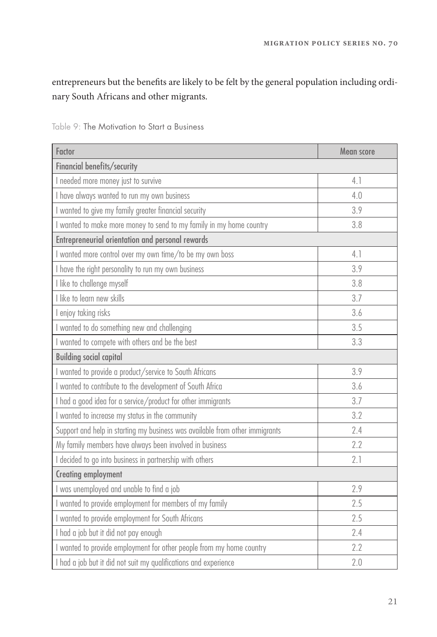entrepreneurs but the benefits are likely to be felt by the general population including ordinary South Africans and other migrants.

| Factor                                                                       | Mean score |
|------------------------------------------------------------------------------|------------|
| Financial benefits/security                                                  |            |
| I needed more money just to survive                                          | 4.1        |
| I have always wanted to run my own business                                  | 4.0        |
| I wanted to give my family greater financial security                        | 3.9        |
| I wanted to make more money to send to my family in my home country          | 3.8        |
| Entrepreneurial orientation and personal rewards                             |            |
| I wanted more control over my own time/to be my own boss                     | 4.1        |
| I have the right personality to run my own business                          | 3.9        |
| I like to challenge myself                                                   | 3.8        |
| I like to learn new skills                                                   | 3.7        |
| I enjoy taking risks                                                         | 3.6        |
| I wanted to do something new and challenging                                 | 3.5        |
| I wanted to compete with others and be the best                              | 3.3        |
| <b>Building social capital</b>                                               |            |
| I wanted to provide a product/service to South Africans                      | 3.9        |
| I wanted to contribute to the development of South Africa                    | 3.6        |
| I had a good idea for a service/product for other immigrants                 | 3.7        |
| I wanted to increase my status in the community                              | 3.2        |
| Support and help in starting my business was available from other immigrants | 2.4        |
| My family members have always been involved in business                      | 2.2        |
| I decided to go into business in partnership with others                     | 2.1        |
| <b>Creating employment</b>                                                   |            |
| I was unemployed and unable to find a job                                    | 2.9        |
| I wanted to provide employment for members of my family                      | 2.5        |
| I wanted to provide employment for South Africans                            | 2.5        |
| I had a job but it did not pay enough                                        | 2.4        |
| I wanted to provide employment for other people from my home country         | 2.2        |
| I had a job but it did not suit my qualifications and experience             | 2.0        |

Table 9: The Motivation to Start a Business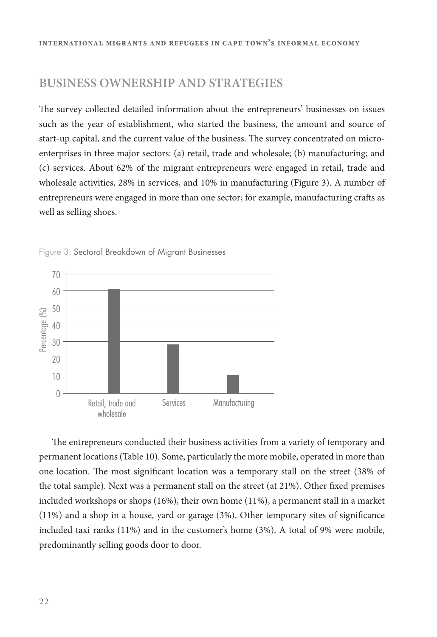#### **BUSINESS OWNERSHIP AND STRATEGIES**

The survey collected detailed information about the entrepreneurs' businesses on issues such as the year of establishment, who started the business, the amount and source of start-up capital, and the current value of the business. The survey concentrated on microenterprises in three major sectors: (a) retail, trade and wholesale; (b) manufacturing; and (c) services. About 62% of the migrant entrepreneurs were engaged in retail, trade and wholesale activities, 28% in services, and 10% in manufacturing (Figure 3). A number of entrepreneurs were engaged in more than one sector; for example, manufacturing crafts as well as selling shoes.



Figure 3: Sectoral Breakdown of Migrant Businesses

The entrepreneurs conducted their business activities from a variety of temporary and permanent locations (Table 10). Some, particularly the more mobile, operated in more than one location. The most significant location was a temporary stall on the street (38% of the total sample). Next was a permanent stall on the street (at 21%). Other fixed premises included workshops or shops (16%), their own home (11%), a permanent stall in a market  $(11%)$  and a shop in a house, yard or garage  $(3%)$ . Other temporary sites of significance included taxi ranks (11%) and in the customer's home (3%). A total of 9% were mobile, predominantly selling goods door to door.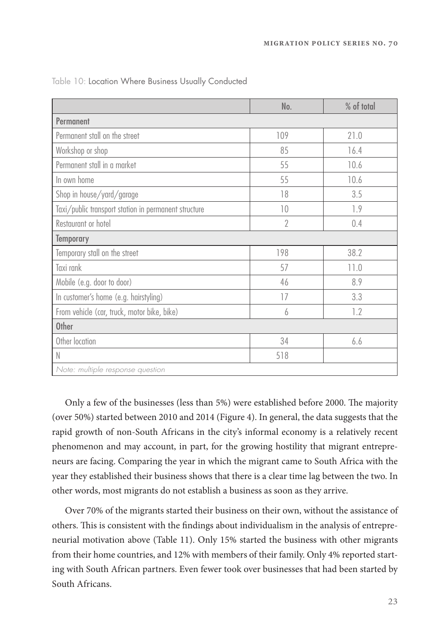|                                                      | No.            | % of total |  |  |
|------------------------------------------------------|----------------|------------|--|--|
| Permanent                                            |                |            |  |  |
| Permanent stall on the street                        | 109            | 21.0       |  |  |
| Workshop or shop                                     | 85             | 16.4       |  |  |
| Permanent stall in a market                          | 55             | 10.6       |  |  |
| In own home                                          | 55             | 10.6       |  |  |
| Shop in house/yard/garage                            | 18             | 3.5        |  |  |
| Taxi/public transport station in permanent structure | 10             | 1.9        |  |  |
| Restaurant or hotel                                  | $\overline{2}$ | 0.4        |  |  |
| <b>Temporary</b>                                     |                |            |  |  |
| Temporary stall on the street                        | 198            | 38.2       |  |  |
| Taxi rank                                            | 57             | 11.0       |  |  |
| Mobile (e.g. door to door)                           | 46             | 8.9        |  |  |
| In customer's home (e.g. hairstyling)                | 17             | 3.3        |  |  |
| From vehicle (car, truck, motor bike, bike)          | 6              | 1.2        |  |  |
| <b>Other</b>                                         |                |            |  |  |
| Other location                                       | 34             | 6.6        |  |  |
| N                                                    | 518            |            |  |  |
| Note: multiple response question                     |                |            |  |  |

Table 10: Location Where Business Usually Conducted

Only a few of the businesses (less than 5%) were established before 2000. The majority (over 50%) started between 2010 and 2014 (Figure 4). In general, the data suggests that the rapid growth of non-South Africans in the city's informal economy is a relatively recent phenomenon and may account, in part, for the growing hostility that migrant entrepreneurs are facing. Comparing the year in which the migrant came to South Africa with the year they established their business shows that there is a clear time lag between the two. In other words, most migrants do not establish a business as soon as they arrive.

Over 70% of the migrants started their business on their own, without the assistance of others. This is consistent with the findings about individualism in the analysis of entrepreneurial motivation above (Table 11). Only 15% started the business with other migrants from their home countries, and 12% with members of their family. Only 4% reported starting with South African partners. Even fewer took over businesses that had been started by South Africans.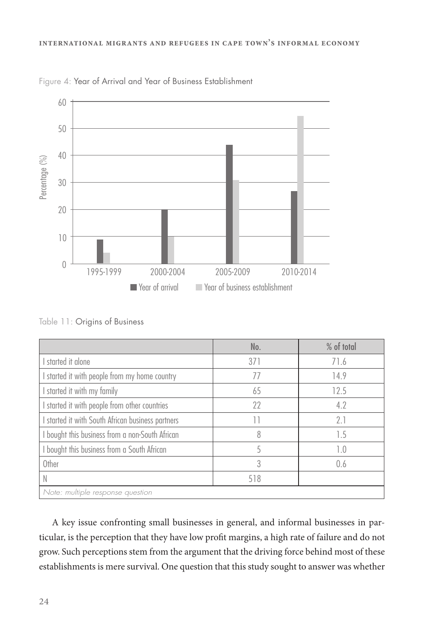

Figure 4: Year of Arrival and Year of Business Establishment

Table 11: Origins of Business

|                                                 | No. | % of total |
|-------------------------------------------------|-----|------------|
| started it alone                                | 371 | 71.6       |
| started it with people from my home country     | 77  | 14.9       |
| started it with my family                       | 65  | 12.5       |
| started it with people from other countries     | 22  | 4.2        |
| started it with South African business partners | Н   | 2.1        |
| I bought this business from a non-South African | 8   | 1.5        |
| I bought this business from a South African     | 5   | 1.0        |
| Other                                           | 3   | 0.6        |
|                                                 | 518 |            |
| Note: multiple response question                |     |            |

A key issue confronting small businesses in general, and informal businesses in particular, is the perception that they have low profit margins, a high rate of failure and do not grow. Such perceptions stem from the argument that the driving force behind most of these establishments is mere survival. One question that this study sought to answer was whether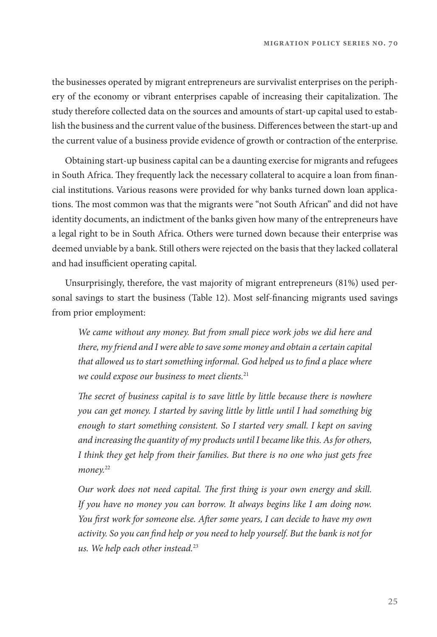the businesses operated by migrant entrepreneurs are survivalist enterprises on the periphery of the economy or vibrant enterprises capable of increasing their capitalization. The study therefore collected data on the sources and amounts of start-up capital used to establish the business and the current value of the business. Differences between the start-up and the current value of a business provide evidence of growth or contraction of the enterprise.

Obtaining start-up business capital can be a daunting exercise for migrants and refugees in South Africa. They frequently lack the necessary collateral to acquire a loan from financial institutions. Various reasons were provided for why banks turned down loan applications. The most common was that the migrants were "not South African" and did not have identity documents, an indictment of the banks given how many of the entrepreneurs have a legal right to be in South Africa. Others were turned down because their enterprise was deemed unviable by a bank. Still others were rejected on the basis that they lacked collateral and had insufficient operating capital.

Unsurprisingly, therefore, the vast majority of migrant entrepreneurs (81%) used personal savings to start the business (Table 12). Most self-financing migrants used savings from prior employment:

We came without any money. But from small piece work jobs we did here and there, my friend and I were able to save some money and obtain a certain capital that allowed us to start something informal. God helped us to find a place where we could expose our business to meet clients.<sup>21</sup>

The secret of business capital is to save little by little because there is nowhere you can get money. I started by saving little by little until I had something big enough to start something consistent. So I started very small. I kept on saving and increasing the quantity of my products until I became like this. As for others, I think they get help from their families. But there is no one who just gets free money.<sup>22</sup>

Our work does not need capital. The first thing is your own energy and skill. If you have no money you can borrow. It always begins like I am doing now. You first work for someone else. After some years, I can decide to have my own activity. So you can find help or you need to help yourself. But the bank is not for us. We help each other instead. $23$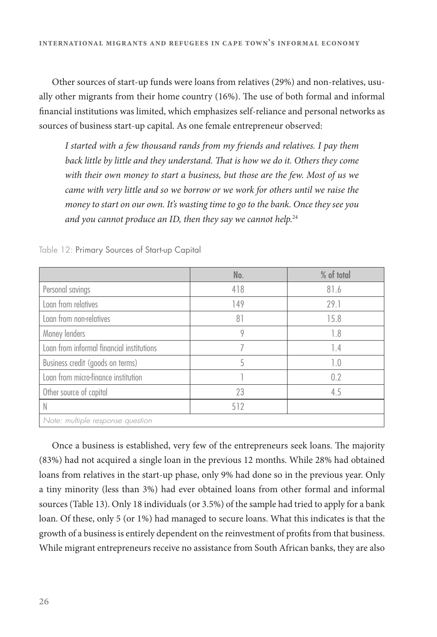Other sources of start-up funds were loans from relatives (29%) and non-relatives, usually other migrants from their home country  $(16%)$ . The use of both formal and informal financial institutions was limited, which emphasizes self-reliance and personal networks as sources of business start-up capital. As one female entrepreneur observed:

I started with a few thousand rands from my friends and relatives. I pay them back little by little and they understand. That is how we do it. Others they come with their own money to start a business, but those are the few. Most of us we came with very little and so we borrow or we work for others until we raise the money to start on our own. It's wasting time to go to the bank. Once they see you and you cannot produce an ID, then they say we cannot help. $24$ 

|                                           | No. | % of total |
|-------------------------------------------|-----|------------|
| Personal savings                          | 418 | 81.6       |
| Loan from relatives                       | 149 | 29.1       |
| Loan from non-relatives                   | 81  | 15.8       |
| Money lenders                             | 9   | 1.8        |
| Loan from informal financial institutions |     | 1.4        |
| Business credit (goods on terms)          | 5   | 1.0        |
| Loan from micro-finance institution       |     | 0.2        |
| Other source of capital                   | 23  | 4.5        |
|                                           | 512 |            |
| Note: multiple response question          |     |            |

Table 12: Primary Sources of Start-up Capital

Once a business is established, very few of the entrepreneurs seek loans. The majority (83%) had not acquired a single loan in the previous 12 months. While 28% had obtained loans from relatives in the start-up phase, only 9% had done so in the previous year. Only a tiny minority (less than 3%) had ever obtained loans from other formal and informal sources (Table 13). Only 18 individuals (or 3.5%) of the sample had tried to apply for a bank loan. Of these, only 5 (or 1%) had managed to secure loans. What this indicates is that the growth of a business is entirely dependent on the reinvestment of profits from that business. While migrant entrepreneurs receive no assistance from South African banks, they are also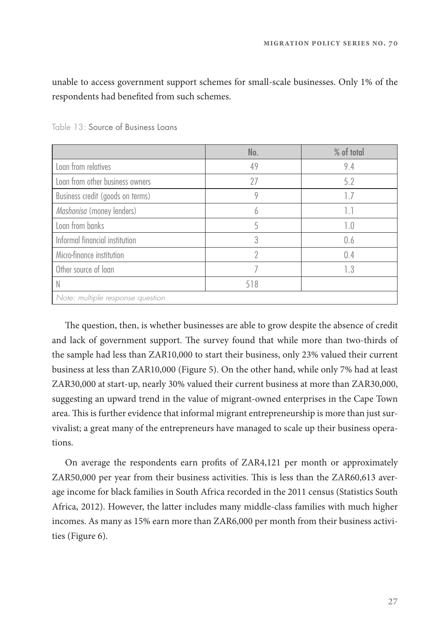unable to access government support schemes for small-scale businesses. Only 1% of the respondents had benefited from such schemes.

|                                  | No. | % of total |
|----------------------------------|-----|------------|
| Loan from relatives              | 49  | 9.4        |
| Loan from other business owners  | 27  | 5.2        |
| Business credit (goods on terms) | 9   | 1.7        |
| Mashonisa (money lenders)        | h   | 1.1        |
| Loan from banks                  | 5   | 1.0        |
| Informal financial institution   | 3   | 0.6        |
| Micro-finance institution        | 7   | 0.4        |
| Other source of loan             |     | 1.3        |
|                                  | 518 |            |
| Note: multiple response question |     |            |

Table 13: Source of Business Loans

The question, then, is whether businesses are able to grow despite the absence of credit and lack of government support. The survey found that while more than two-thirds of the sample had less than ZAR10,000 to start their business, only 23% valued their current business at less than ZAR10,000 (Figure 5). On the other hand, while only 7% had at least ZAR30,000 at start-up, nearly 30% valued their current business at more than ZAR30,000, suggesting an upward trend in the value of migrant-owned enterprises in the Cape Town area. This is further evidence that informal migrant entrepreneurship is more than just survivalist; a great many of the entrepreneurs have managed to scale up their business operations.

On average the respondents earn profits of ZAR4,121 per month or approximately ZAR50,000 per year from their business activities. This is less than the ZAR60,613 average income for black families in South Africa recorded in the 2011 census (Statistics South Africa, 2012). However, the latter includes many middle-class families with much higher incomes. As many as 15% earn more than ZAR6,000 per month from their business activities (Figure 6).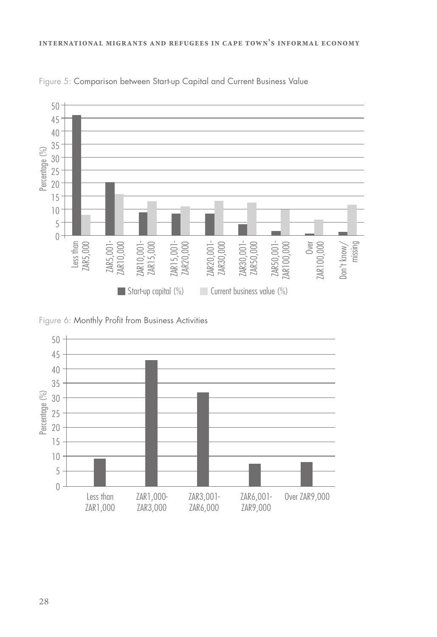

Figure 5: Comparison between Start-up Capital and Current Business Value

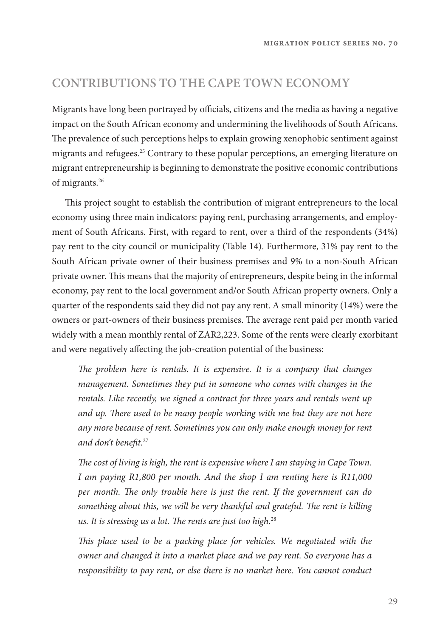#### **CONTRIBUTIONS TO THE CAPE TOWN ECONOMY**

Migrants have long been portrayed by officials, citizens and the media as having a negative impact on the South African economy and undermining the livelihoods of South Africans. The prevalence of such perceptions helps to explain growing xenophobic sentiment against migrants and refugees.<sup>25</sup> Contrary to these popular perceptions, an emerging literature on migrant entrepreneurship is beginning to demonstrate the positive economic contributions of migrants.26

This project sought to establish the contribution of migrant entrepreneurs to the local economy using three main indicators: paying rent, purchasing arrangements, and employment of South Africans. First, with regard to rent, over a third of the respondents (34%) pay rent to the city council or municipality (Table 14). Furthermore, 31% pay rent to the South African private owner of their business premises and 9% to a non-South African private owner. This means that the majority of entrepreneurs, despite being in the informal economy, pay rent to the local government and/or South African property owners. Only a quarter of the respondents said they did not pay any rent. A small minority (14%) were the owners or part-owners of their business premises. The average rent paid per month varied widely with a mean monthly rental of ZAR2,223. Some of the rents were clearly exorbitant and were negatively affecting the job-creation potential of the business:

The problem here is rentals. It is expensive. It is a company that changes management. Sometimes they put in someone who comes with changes in the rentals. Like recently, we signed a contract for three years and rentals went up and up. There used to be many people working with me but they are not here any more because of rent. Sometimes you can only make enough money for rent and don't benefit.<sup>27</sup>

The cost of living is high, the rent is expensive where I am staying in Cape Town. I am paying R1,800 per month. And the shop I am renting here is R11,000 per month. The only trouble here is just the rent. If the government can do something about this, we will be very thankful and grateful. The rent is killing us. It is stressing us a lot. The rents are just too high. $28$ 

This place used to be a packing place for vehicles. We negotiated with the owner and changed it into a market place and we pay rent. So everyone has a responsibility to pay rent, or else there is no market here. You cannot conduct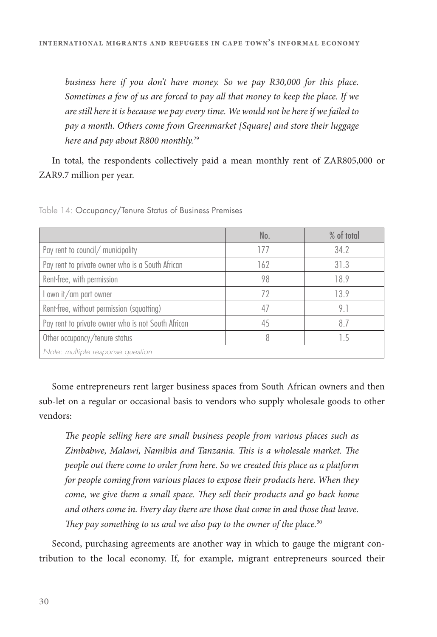business here if you don't have money. So we pay R30,000 for this place. Sometimes a few of us are forced to pay all that money to keep the place. If we are still here it is because we pay every time. We would not be here if we failed to pay a month. Others come from Greenmarket [Square] and store their luggage here and pay about R800 monthly.<sup>29</sup>

In total, the respondents collectively paid a mean monthly rent of ZAR805,000 or ZAR9.7 million per year.

|                                                    | No. | % of total |
|----------------------------------------------------|-----|------------|
| Pay rent to council/ municipality                  | 177 | 34.2       |
| Pay rent to private owner who is a South African   | 162 | 31.3       |
| Rent-free, with permission                         | 98  | 18.9       |
| own it/am part owner                               | 72  | 13.9       |
| Rent-free, without permission (squatting)          | 4/  | 9.1        |
| Pay rent to private owner who is not South African | 45  | 87         |
| Other occupancy/tenure status                      | 8   | 15         |
| Note: multiple response question                   |     |            |

Table 14: Occupancy/Tenure Status of Business Premises

Some entrepreneurs rent larger business spaces from South African owners and then sub-let on a regular or occasional basis to vendors who supply wholesale goods to other vendors:

The people selling here are small business people from various places such as Zimbabwe, Malawi, Namibia and Tanzania. This is a wholesale market. The people out there come to order from here. So we created this place as a platform for people coming from various places to expose their products here. When they come, we give them a small space. They sell their products and go back home and others come in. Every day there are those that come in and those that leave. They pay something to us and we also pay to the owner of the place. $30$ 

Second, purchasing agreements are another way in which to gauge the migrant contribution to the local economy. If, for example, migrant entrepreneurs sourced their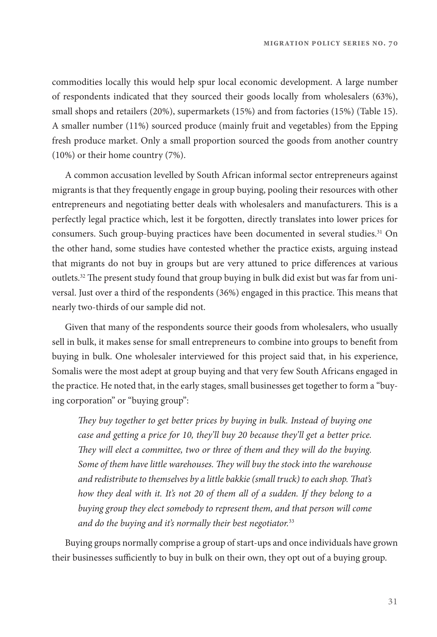commodities locally this would help spur local economic development. A large number of respondents indicated that they sourced their goods locally from wholesalers (63%), small shops and retailers (20%), supermarkets (15%) and from factories (15%) (Table 15). A smaller number (11%) sourced produce (mainly fruit and vegetables) from the Epping fresh produce market. Only a small proportion sourced the goods from another country (10%) or their home country (7%).

A common accusation levelled by South African informal sector entrepreneurs against migrants is that they frequently engage in group buying, pooling their resources with other entrepreneurs and negotiating better deals with wholesalers and manufacturers. This is a perfectly legal practice which, lest it be forgotten, directly translates into lower prices for consumers. Such group-buying practices have been documented in several studies.31 On the other hand, some studies have contested whether the practice exists, arguing instead that migrants do not buy in groups but are very attuned to price differences at various outlets.<sup>32</sup> The present study found that group buying in bulk did exist but was far from universal. Just over a third of the respondents (36%) engaged in this practice. This means that nearly two-thirds of our sample did not.

Given that many of the respondents source their goods from wholesalers, who usually sell in bulk, it makes sense for small entrepreneurs to combine into groups to benefit from buying in bulk. One wholesaler interviewed for this project said that, in his experience, Somalis were the most adept at group buying and that very few South Africans engaged in the practice. He noted that, in the early stages, small businesses get together to form a "buying corporation" or "buying group":

They buy together to get better prices by buying in bulk. Instead of buying one case and getting a price for 10, they'll buy 20 because they'll get a better price. They will elect a committee, two or three of them and they will do the buying. Some of them have little warehouses. They will buy the stock into the warehouse and redistribute to themselves by a little bakkie (small truck) to each shop. That's how they deal with it. It's not 20 of them all of a sudden. If they belong to a buying group they elect somebody to represent them, and that person will come and do the buying and it's normally their best negotiator.<sup>33</sup>

Buying groups normally comprise a group of start-ups and once individuals have grown their businesses sufficiently to buy in bulk on their own, they opt out of a buying group.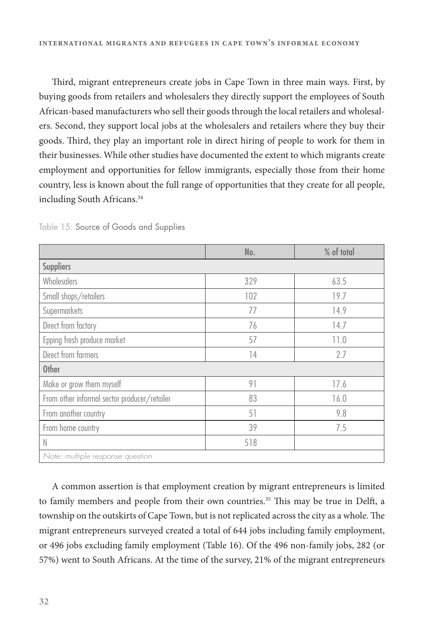Third, migrant entrepreneurs create jobs in Cape Town in three main ways. First, by buying goods from retailers and wholesalers they directly support the employees of South African-based manufacturers who sell their goods through the local retailers and wholesalers. Second, they support local jobs at the wholesalers and retailers where they buy their goods. Third, they play an important role in direct hiring of people to work for them in their businesses. While other studies have documented the extent to which migrants create employment and opportunities for fellow immigrants, especially those from their home country, less is known about the full range of opportunities that they create for all people, including South Africans.<sup>34</sup>

|                                              | No. | % of total |
|----------------------------------------------|-----|------------|
| <b>Suppliers</b>                             |     |            |
| Wholesalers                                  | 329 | 63.5       |
| Small shops/retailers                        | 102 | 19.7       |
| Supermarkets                                 | 77  | 14.9       |
| Direct from factory                          | 76  | 14.7       |
| Epping fresh produce market                  | 57  | 11.0       |
| Direct from farmers                          | 14  | 2.7        |
| <b>Other</b>                                 |     |            |
| Make or grow them myself                     | 91  | 17.6       |
| From other informal sector producer/retailer | 83  | 16.0       |
| From another country                         | 51  | 9.8        |
| From home country                            | 39  | 7.5        |
| N                                            | 518 |            |
| Note: multiple response question             |     |            |

Table 15: Source of Goods and Supplies

A common assertion is that employment creation by migrant entrepreneurs is limited to family members and people from their own countries.<sup>35</sup> This may be true in Delft, a township on the outskirts of Cape Town, but is not replicated across the city as a whole. The migrant entrepreneurs surveyed created a total of 644 jobs including family employment, or 496 jobs excluding family employment (Table 16). Of the 496 non-family jobs, 282 (or 57%) went to South Africans. At the time of the survey, 21% of the migrant entrepreneurs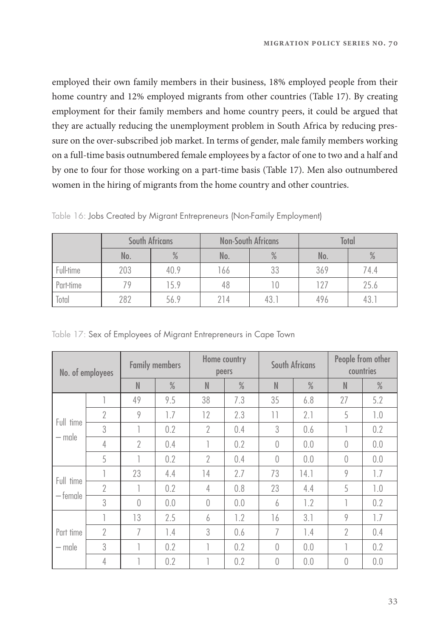employed their own family members in their business, 18% employed people from their home country and 12% employed migrants from other countries (Table 17). By creating employment for their family members and home country peers, it could be argued that they are actually reducing the unemployment problem in South Africa by reducing pressure on the over-subscribed job market. In terms of gender, male family members working on a full-time basis outnumbered female employees by a factor of one to two and a half and by one to four for those working on a part-time basis (Table 17). Men also outnumbered women in the hiring of migrants from the home country and other countries.

|                  |                      | South Africans   |          | <b>Non-South Africans</b> | <b>Total</b> |      |  |
|------------------|----------------------|------------------|----------|---------------------------|--------------|------|--|
|                  | $\frac{0}{0}$<br>No. |                  | No.      | $\%$                      | No.          | $\%$ |  |
| <b>Full-time</b> | 203                  | 33<br>40.9<br>66 |          | 369                       | 74.4         |      |  |
| Part-time        | 79                   | 15.9             | 48<br>10 |                           | 127          | 25.6 |  |
| Total            | 282                  | 56.9             | 214      | 43.1                      | 496          | 43.  |  |

Table 16: Jobs Created by Migrant Entrepreneurs (Non-Family Employment)

|  |  |  |  | Table 17: Sex of Employees of Migrant Entrepreneurs in Cape Town |  |  |
|--|--|--|--|------------------------------------------------------------------|--|--|
|  |  |  |  |                                                                  |  |  |

| No. of employees |                | <b>Family members</b> |               |                | Home country<br>peers |                  | South Africans | People from other<br>countries |               |  |
|------------------|----------------|-----------------------|---------------|----------------|-----------------------|------------------|----------------|--------------------------------|---------------|--|
|                  |                | N                     | $\frac{0}{0}$ | N              | $\frac{0}{0}$         | $\mathbb N$      | $\frac{0}{0}$  | $\mathbb N$                    | $\frac{0}{2}$ |  |
|                  |                | 49                    | 9.5           | 38             | 7.3                   | 35               | 6.8            | 27                             | 5.2           |  |
| Full time        | $\overline{2}$ | 9                     | 1.7           | 12             | 2.3                   | 11               | 2.1            | 5                              | 1.0           |  |
|                  | 3              | T                     | 0.2           | $\overline{2}$ | 0.4                   | 3                | 0.6            |                                | 0.2           |  |
| — male           | 4              | $\overline{2}$        | 0.4           |                | 0.2                   | $\left( \right)$ | 0.0            | $\left( \right)$               | 0.0           |  |
|                  | 5              | ٦                     | 0.2           | $\overline{2}$ | 0.4                   | $\left( \right)$ | 0.0            | $\left( \right)$               | 0.0           |  |
|                  |                | 23                    | 4.4           | 14             | 2.7                   | 73               | 14.1           | 9                              | 1.7           |  |
| Full time        | $\overline{2}$ |                       | 0.2           | 4              | 0.8                   | 23               | 4.4            | 5                              | 1.0           |  |
| $-$ female       | 3              | $\bigcap$             | 0.0           | $\bigcap$      | 0.0                   | 6                | 1.2            |                                | 0.2           |  |
|                  | т              | 13                    | 2.5           | 6              | 1.2                   | 16               | 3.1            | 9                              | 1.7           |  |
| Part time        | $\overline{2}$ | 7                     | 1.4           | 3              | 0.6                   | 7                | 1.4            | $\overline{2}$                 | 0.4           |  |
| — male           | 3              | ٦                     | 0.2           |                | 0.2                   | $\theta$         | 0.0            | п                              | 0.2           |  |
|                  | 4              |                       | 0.2           |                | 0.2                   | $\theta$         | 0.0            | $\theta$                       | 0.0           |  |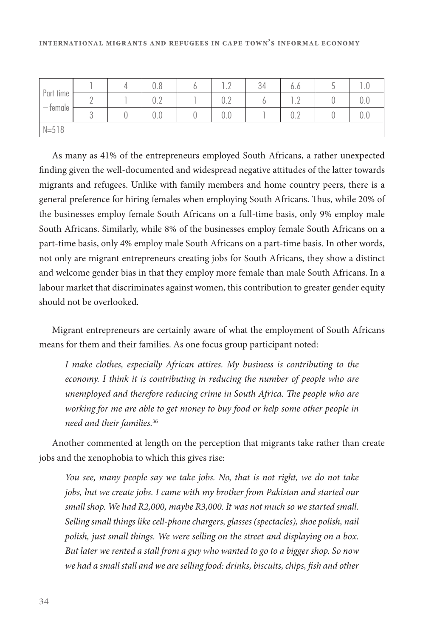| Part time<br>— temale |  | 0.8                                  | $\cdot$ $\sim$        | 34 | 0.0                           |     |
|-----------------------|--|--------------------------------------|-----------------------|----|-------------------------------|-----|
|                       |  | $\cap$ $\cap$<br>U.Z                 | $\cap$ $\cdot$<br>◡◦▵ |    | ٠<br>$\sim$<br>$\cdot$ $\sim$ | U.U |
|                       |  | $\hat{\phantom{1}}$<br>$\sim$<br>V.U | 0.0                   |    | $\sim$<br>$\sim$<br>◡▵        | U.U |
| $N = 518$             |  |                                      |                       |    |                               |     |

As many as 41% of the entrepreneurs employed South Africans, a rather unexpected finding given the well-documented and widespread negative attitudes of the latter towards migrants and refugees. Unlike with family members and home country peers, there is a general preference for hiring females when employing South Africans. Thus, while 20% of the businesses employ female South Africans on a full-time basis, only 9% employ male South Africans. Similarly, while 8% of the businesses employ female South Africans on a part-time basis, only 4% employ male South Africans on a part-time basis. In other words, not only are migrant entrepreneurs creating jobs for South Africans, they show a distinct and welcome gender bias in that they employ more female than male South Africans. In a labour market that discriminates against women, this contribution to greater gender equity should not be overlooked.

Migrant entrepreneurs are certainly aware of what the employment of South Africans means for them and their families. As one focus group participant noted:

I make clothes, especially African attires. My business is contributing to the economy. I think it is contributing in reducing the number of people who are unemployed and therefore reducing crime in South Africa. The people who are working for me are able to get money to buy food or help some other people in need and their families.<sup>36</sup>

Another commented at length on the perception that migrants take rather than create jobs and the xenophobia to which this gives rise:

You see, many people say we take jobs. No, that is not right, we do not take jobs, but we create jobs. I came with my brother from Pakistan and started our small shop. We had R2,000, maybe R3,000. It was not much so we started small. Selling small things like cell-phone chargers, glasses (spectacles), shoe polish, nail polish, just small things. We were selling on the street and displaying on a box. But later we rented a stall from a guy who wanted to go to a bigger shop. So now we had a small stall and we are selling food: drinks, biscuits, chips, fish and other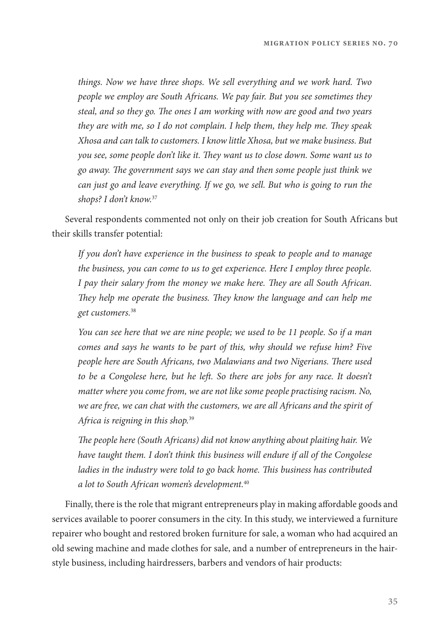things. Now we have three shops. We sell everything and we work hard. Two people we employ are South Africans. We pay fair. But you see sometimes they steal, and so they go. The ones I am working with now are good and two years they are with me, so I do not complain. I help them, they help me. They speak Xhosa and can talk to customers. I know little Xhosa, but we make business. But you see, some people don't like it. They want us to close down. Some want us to go away. The government says we can stay and then some people just think we can just go and leave everything. If we go, we sell. But who is going to run the shops? I don't know.<sup>37</sup>

Several respondents commented not only on their job creation for South Africans but their skills transfer potential:

If you don't have experience in the business to speak to people and to manage the business, you can come to us to get experience. Here I employ three people. I pay their salary from the money we make here. They are all South African. They help me operate the business. They know the language and can help me get customers.<sup>38</sup>

You can see here that we are nine people; we used to be 11 people. So if a man comes and says he wants to be part of this, why should we refuse him? Five people here are South Africans, two Malawians and two Nigerians. There used to be a Congolese here, but he left. So there are jobs for any race. It doesn't matter where you come from, we are not like some people practising racism. No, we are free, we can chat with the customers, we are all Africans and the spirit of Africa is reigning in this shop.<sup>39</sup>

The people here (South Africans) did not know anything about plaiting hair. We have taught them. I don't think this business will endure if all of the Congolese ladies in the industry were told to go back home. This business has contributed a lot to South African women's development.<sup>40</sup>

Finally, there is the role that migrant entrepreneurs play in making affordable goods and services available to poorer consumers in the city. In this study, we interviewed a furniture repairer who bought and restored broken furniture for sale, a woman who had acquired an old sewing machine and made clothes for sale, and a number of entrepreneurs in the hairstyle business, including hairdressers, barbers and vendors of hair products: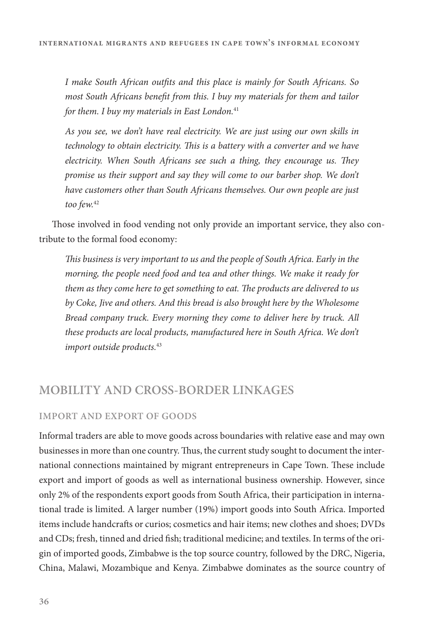I make South African outfits and this place is mainly for South Africans. So most South Africans benefit from this. I buy my materials for them and tailor for them. I buy my materials in East London. $41$ 

As you see, we don't have real electricity. We are just using our own skills in technology to obtain electricity. This is a battery with a converter and we have electricity. When South Africans see such a thing, they encourage us. They promise us their support and say they will come to our barber shop. We don't have customers other than South Africans themselves. Our own people are just too few.<sup>42</sup>

Those involved in food vending not only provide an important service, they also contribute to the formal food economy:

This business is very important to us and the people of South Africa. Early in the morning, the people need food and tea and other things. We make it ready for them as they come here to get something to eat. The products are delivered to us by Coke, Jive and others. And this bread is also brought here by the Wholesome Bread company truck. Every morning they come to deliver here by truck. All these products are local products, manufactured here in South Africa. We don't import outside products.<sup>43</sup>

#### **MOBILITY AND CROSS-BORDER LINKAGES**

#### **IMPORT AND EXPORT OF GOODS**

Informal traders are able to move goods across boundaries with relative ease and may own businesses in more than one country. Thus, the current study sought to document the international connections maintained by migrant entrepreneurs in Cape Town. These include export and import of goods as well as international business ownership. However, since only 2% of the respondents export goods from South Africa, their participation in international trade is limited. A larger number (19%) import goods into South Africa. Imported items include handcrafts or curios; cosmetics and hair items; new clothes and shoes; DVDs and CDs; fresh, tinned and dried fish; traditional medicine; and textiles. In terms of the origin of imported goods, Zimbabwe is the top source country, followed by the DRC, Nigeria, China, Malawi, Mozambique and Kenya. Zimbabwe dominates as the source country of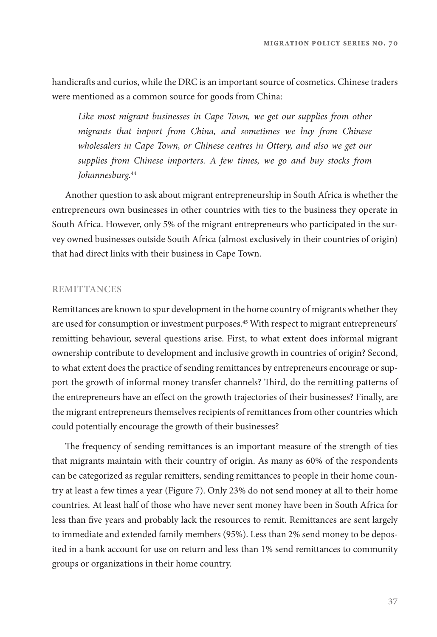handicrafts and curios, while the DRC is an important source of cosmetics. Chinese traders were mentioned as a common source for goods from China:

Like most migrant businesses in Cape Town, we get our supplies from other migrants that import from China, and sometimes we buy from Chinese wholesalers in Cape Town, or Chinese centres in Ottery, and also we get our supplies from Chinese importers. A few times, we go and buy stocks from Johannesburg.<sup>44</sup>

Another question to ask about migrant entrepreneurship in South Africa is whether the entrepreneurs own businesses in other countries with ties to the business they operate in South Africa. However, only 5% of the migrant entrepreneurs who participated in the survey owned businesses outside South Africa (almost exclusively in their countries of origin) that had direct links with their business in Cape Town.

#### **REMITTANCES**

Remittances are known to spur development in the home country of migrants whether they are used for consumption or investment purposes.45 With respect to migrant entrepreneurs' remitting behaviour, several questions arise. First, to what extent does informal migrant ownership contribute to development and inclusive growth in countries of origin? Second, to what extent does the practice of sending remittances by entrepreneurs encourage or support the growth of informal money transfer channels? Third, do the remitting patterns of the entrepreneurs have an effect on the growth trajectories of their businesses? Finally, are the migrant entrepreneurs themselves recipients of remittances from other countries which could potentially encourage the growth of their businesses?

The frequency of sending remittances is an important measure of the strength of ties that migrants maintain with their country of origin. As many as 60% of the respondents can be categorized as regular remitters, sending remittances to people in their home country at least a few times a year (Figure 7). Only 23% do not send money at all to their home countries. At least half of those who have never sent money have been in South Africa for less than five years and probably lack the resources to remit. Remittances are sent largely to immediate and extended family members (95%). Less than 2% send money to be deposited in a bank account for use on return and less than 1% send remittances to community groups or organizations in their home country.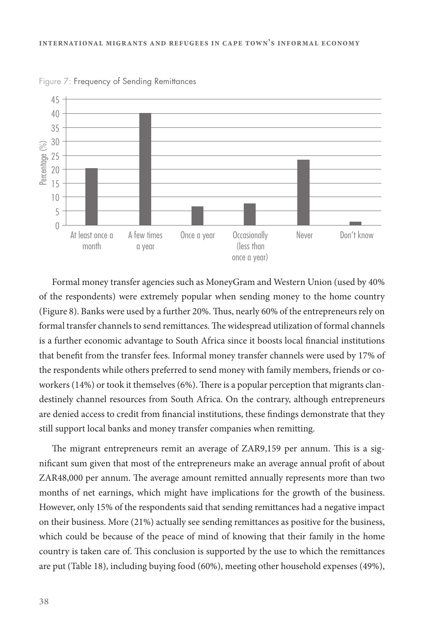

Figure 7: Frequency of Sending Remittances

Formal money transfer agencies such as MoneyGram and Western Union (used by 40% of the respondents) were extremely popular when sending money to the home country (Figure 8). Banks were used by a further 20%. Thus, nearly 60% of the entrepreneurs rely on formal transfer channels to send remittances. The widespread utilization of formal channels is a further economic advantage to South Africa since it boosts local financial institutions that benefit from the transfer fees. Informal money transfer channels were used by 17% of the respondents while others preferred to send money with family members, friends or coworkers (14%) or took it themselves  $(6%)$ . There is a popular perception that migrants clandestinely channel resources from South Africa. On the contrary, although entrepreneurs are denied access to credit from financial institutions, these findings demonstrate that they still support local banks and money transfer companies when remitting.

The migrant entrepreneurs remit an average of ZAR9,159 per annum. This is a significant sum given that most of the entrepreneurs make an average annual profit of about ZAR48,000 per annum. The average amount remitted annually represents more than two months of net earnings, which might have implications for the growth of the business. However, only 15% of the respondents said that sending remittances had a negative impact on their business. More (21%) actually see sending remittances as positive for the business, which could be because of the peace of mind of knowing that their family in the home country is taken care of. "is conclusion is supported by the use to which the remittances are put (Table 18), including buying food (60%), meeting other household expenses (49%),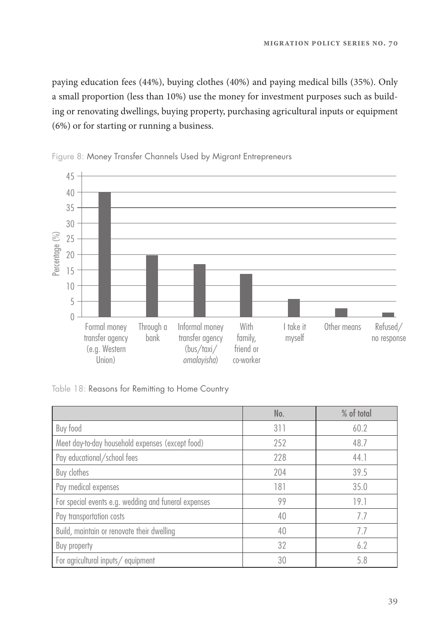paying education fees (44%), buying clothes (40%) and paying medical bills (35%). Only a small proportion (less than 10%) use the money for investment purposes such as building or renovating dwellings, buying property, purchasing agricultural inputs or equipment (6%) or for starting or running a business.



Figure 8: Money Transfer Channels Used by Migrant Entrepreneurs

Table 18: Reasons for Remitting to Home Country

|                                                      | No. | % of total |
|------------------------------------------------------|-----|------------|
| Buy food                                             | 311 | 60.2       |
| Meet day-to-day household expenses (except food)     | 252 | 48.7       |
| Pay educational/school fees                          | 228 | 44.1       |
| Buy clothes                                          | 204 | 39.5       |
| Pay medical expenses                                 | 181 | 35.0       |
| For special events e.g. wedding and funeral expenses | 99  | 19.1       |
| Pay transportation costs                             | 40  | 77         |
| Build, maintain or renovate their dwelling           | 40  | 7.7        |
| Buy property                                         | 32  | 6.2        |
| For agricultural inputs/equipment                    | 30  | 5.8        |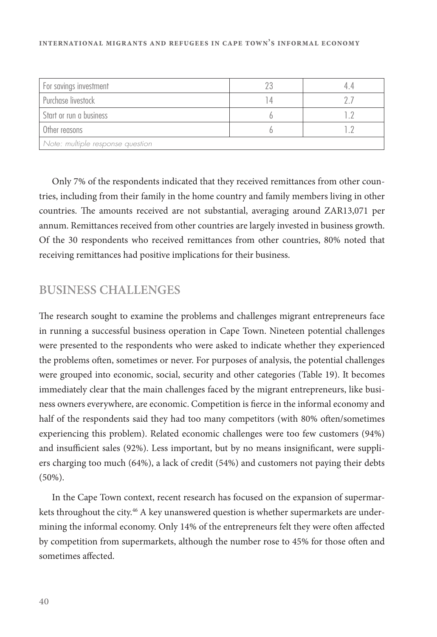#### **international migrants and refugees in cape town's informal economy**

| For savings investment           |  |
|----------------------------------|--|
| Purchase livestock               |  |
| Start or run a business          |  |
| Other reasons                    |  |
| Note: multiple response question |  |

Only 7% of the respondents indicated that they received remittances from other countries, including from their family in the home country and family members living in other countries. The amounts received are not substantial, averaging around ZAR13,071 per annum. Remittances received from other countries are largely invested in business growth. Of the 30 respondents who received remittances from other countries, 80% noted that receiving remittances had positive implications for their business.

#### **BUSINESS CHALLENGES**

The research sought to examine the problems and challenges migrant entrepreneurs face in running a successful business operation in Cape Town. Nineteen potential challenges were presented to the respondents who were asked to indicate whether they experienced the problems often, sometimes or never. For purposes of analysis, the potential challenges were grouped into economic, social, security and other categories (Table 19). It becomes immediately clear that the main challenges faced by the migrant entrepreneurs, like business owners everywhere, are economic. Competition is fierce in the informal economy and half of the respondents said they had too many competitors (with 80% often/sometimes experiencing this problem). Related economic challenges were too few customers (94%) and insufficient sales (92%). Less important, but by no means insignificant, were suppliers charging too much (64%), a lack of credit (54%) and customers not paying their debts (50%).

In the Cape Town context, recent research has focused on the expansion of supermarkets throughout the city.<sup>46</sup> A key unanswered question is whether supermarkets are undermining the informal economy. Only 14% of the entrepreneurs felt they were often affected by competition from supermarkets, although the number rose to 45% for those often and sometimes affected.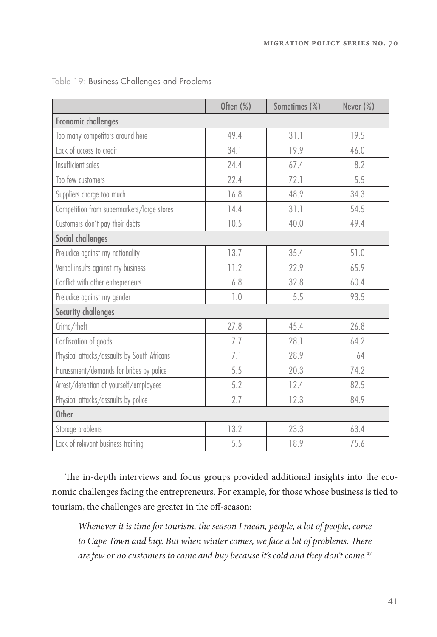|                                             | Often $(\%)$ | Sometimes (%) | Never (%) |
|---------------------------------------------|--------------|---------------|-----------|
| <b>Economic challenges</b>                  |              |               |           |
| Too many competitors around here            | 49.4         | 31.1          | 19.5      |
| Lack of access to credit                    | 34.1         | 19.9          | 46.0      |
| Insufficient sales                          | 24.4         | 67.4          | 8.2       |
| Too few customers                           | 22.4         | 72.1          | 5.5       |
| Suppliers charge too much                   | 16.8         | 48.9          | 34.3      |
| Competition from supermarkets/large stores  | 14.4         | 31.1          | 54.5      |
| Customers don't pay their debts             | 10.5         | 40.0          | 49.4      |
| Social challenges                           |              |               |           |
| Prejudice against my nationality            | 13.7         | 35.4          | 51.0      |
| Verbal insults against my business          | 11.2         | 22.9          | 65.9      |
| Conflict with other entrepreneurs           | 6.8          | 32.8          | 60.4      |
| Prejudice against my gender                 | 1.0          | 5.5           | 93.5      |
| <b>Security challenges</b>                  |              |               |           |
| Crime/theft                                 | 27.8         | 45.4          | 26.8      |
| Confiscation of goods                       | 7.7          | 28.1          | 64.2      |
| Physical attacks/assaults by South Africans | 7.1          | 28.9          | 64        |
| Harassment/demands for bribes by police     | 5.5          | 20.3          | 74.2      |
| Arrest/detention of yourself/employees      | 5.2          | 12.4          | 82.5      |
| Physical attacks/assaults by police         | 2.7          | 12.3          | 84.9      |
| <b>Other</b>                                |              |               |           |
| Storage problems                            | 13.2         | 23.3          | 63.4      |
| Lack of relevant business training          | 5.5          | 18.9          | 75.6      |

Table 19: Business Challenges and Problems

The in-depth interviews and focus groups provided additional insights into the economic challenges facing the entrepreneurs. For example, for those whose business is tied to tourism, the challenges are greater in the off-season:

Whenever it is time for tourism, the season I mean, people, a lot of people, come to Cape Town and buy. But when winter comes, we face a lot of problems. There are few or no customers to come and buy because it's cold and they don't come.<sup>47</sup>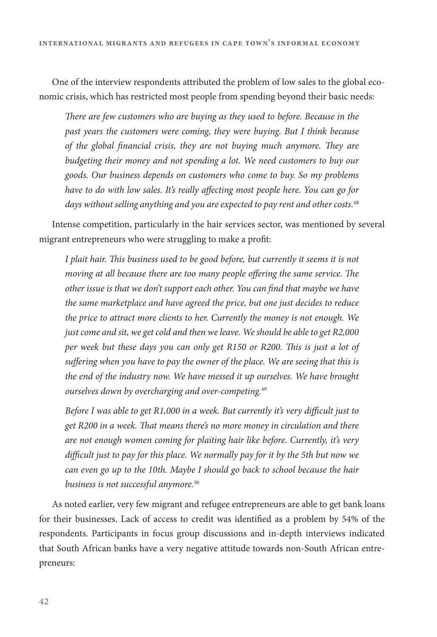One of the interview respondents attributed the problem of low sales to the global economic crisis, which has restricted most people from spending beyond their basic needs:

There are few customers who are buying as they used to before. Because in the past years the customers were coming, they were buying. But I think because of the global financial crisis, they are not buying much anymore. They are budgeting their money and not spending a lot. We need customers to buy our goods. Our business depends on customers who come to buy. So my problems have to do with low sales. It's really affecting most people here. You can go for days without selling anything and you are expected to pay rent and other costs.<sup>48</sup>

Intense competition, particularly in the hair services sector, was mentioned by several migrant entrepreneurs who were struggling to make a profit:

I plait hair. This business used to be good before, but currently it seems it is not moving at all because there are too many people offering the same service. The other issue is that we don't support each other. You can find that maybe we have the same marketplace and have agreed the price, but one just decides to reduce the price to attract more clients to her. Currently the money is not enough. We just come and sit, we get cold and then we leave. We should be able to get R2,000 per week but these days you can only get R150 or R200. This is just a lot of suffering when you have to pay the owner of the place. We are seeing that this is the end of the industry now. We have messed it up ourselves. We have brought ourselves down by overcharging and over-competing.<sup>49</sup>

Before I was able to get R1,000 in a week. But currently it's very difficult just to get R200 in a week. That means there's no more money in circulation and there are not enough women coming for plaiting hair like before. Currently, it's very difficult just to pay for this place. We normally pay for it by the 5th but now we can even go up to the 10th. Maybe I should go back to school because the hair business is not successful anymore.<sup>50</sup>

As noted earlier, very few migrant and refugee entrepreneurs are able to get bank loans for their businesses. Lack of access to credit was identified as a problem by 54% of the respondents. Participants in focus group discussions and in-depth interviews indicated that South African banks have a very negative attitude towards non-South African entrepreneurs: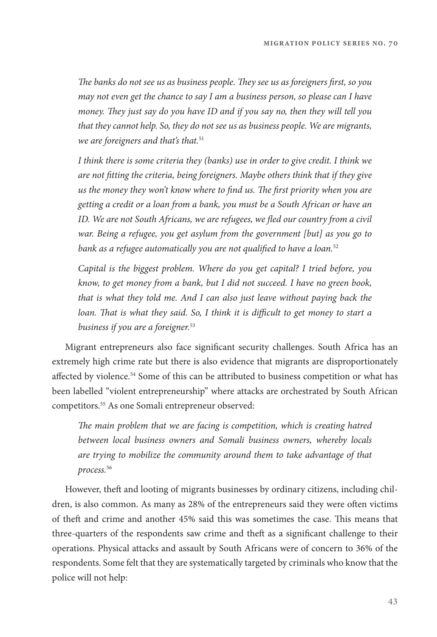The banks do not see us as business people. They see us as foreigners first, so you may not even get the chance to say I am a business person, so please can I have money. They just say do you have ID and if you say no, then they will tell you that they cannot help. So, they do not see us as business people. We are migrants, we are foreigners and that's that.<sup>51</sup>

I think there is some criteria they (banks) use in order to give credit. I think we are not fitting the criteria, being foreigners. Maybe others think that if they give us the money they won't know where to find us. The first priority when you are getting a credit or a loan from a bank, you must be a South African or have an ID. We are not South Africans, we are refugees, we fled our country from a civil war. Being a refugee, you get asylum from the government [but] as you go to bank as a refugee automatically you are not qualified to have a loan. $52$ 

Capital is the biggest problem. Where do you get capital? I tried before, you know, to get money from a bank, but I did not succeed. I have no green book, that is what they told me. And I can also just leave without paying back the loan. That is what they said. So, I think it is difficult to get money to start a business if you are a foreigner.<sup>53</sup>

Migrant entrepreneurs also face significant security challenges. South Africa has an extremely high crime rate but there is also evidence that migrants are disproportionately affected by violence.<sup>54</sup> Some of this can be attributed to business competition or what has been labelled "violent entrepreneurship" where attacks are orchestrated by South African competitors.55 As one Somali entrepreneur observed:

The main problem that we are facing is competition, which is creating hatred between local business owners and Somali business owners, whereby locals are trying to mobilize the community around them to take advantage of that process.<sup>56</sup>

However, theft and looting of migrants businesses by ordinary citizens, including children, is also common. As many as 28% of the entrepreneurs said they were often victims of theft and crime and another 45% said this was sometimes the case. This means that three-quarters of the respondents saw crime and theft as a significant challenge to their operations. Physical attacks and assault by South Africans were of concern to 36% of the respondents. Some felt that they are systematically targeted by criminals who know that the police will not help: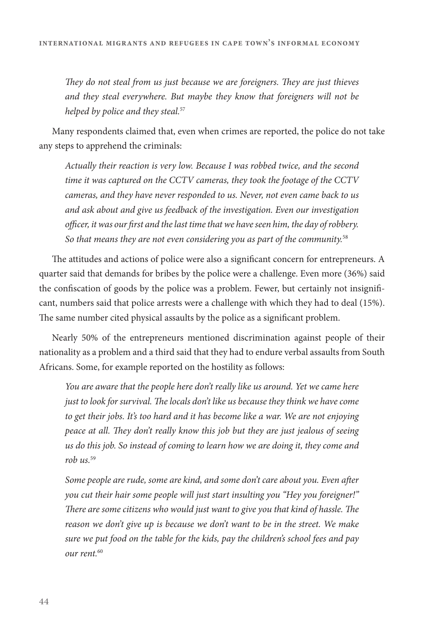They do not steal from us just because we are foreigners. They are just thieves and they steal everywhere. But maybe they know that foreigners will not be helped by police and they steal.<sup>57</sup>

Many respondents claimed that, even when crimes are reported, the police do not take any steps to apprehend the criminals:

Actually their reaction is very low. Because I was robbed twice, and the second time it was captured on the CCTV cameras, they took the footage of the CCTV cameras, and they have never responded to us. Never, not even came back to us and ask about and give us feedback of the investigation. Even our investigation officer, it was our first and the last time that we have seen him, the day of robbery. So that means they are not even considering you as part of the community. $58$ 

The attitudes and actions of police were also a significant concern for entrepreneurs. A quarter said that demands for bribes by the police were a challenge. Even more (36%) said the confiscation of goods by the police was a problem. Fewer, but certainly not insignificant, numbers said that police arrests were a challenge with which they had to deal (15%). The same number cited physical assaults by the police as a significant problem.

Nearly 50% of the entrepreneurs mentioned discrimination against people of their nationality as a problem and a third said that they had to endure verbal assaults from South Africans. Some, for example reported on the hostility as follows:

You are aware that the people here don't really like us around. Yet we came here just to look for survival. The locals don't like us because they think we have come to get their jobs. It's too hard and it has become like a war. We are not enjoying peace at all. They don't really know this job but they are just jealous of seeing us do this job. So instead of coming to learn how we are doing it, they come and rob  $us.^{59}$ 

Some people are rude, some are kind, and some don't care about you. Even after you cut their hair some people will just start insulting you "Hey you foreigner!" There are some citizens who would just want to give you that kind of hassle. The reason we don't give up is because we don't want to be in the street. We make sure we put food on the table for the kids, pay the children's school fees and pay our rent.<sup>60</sup>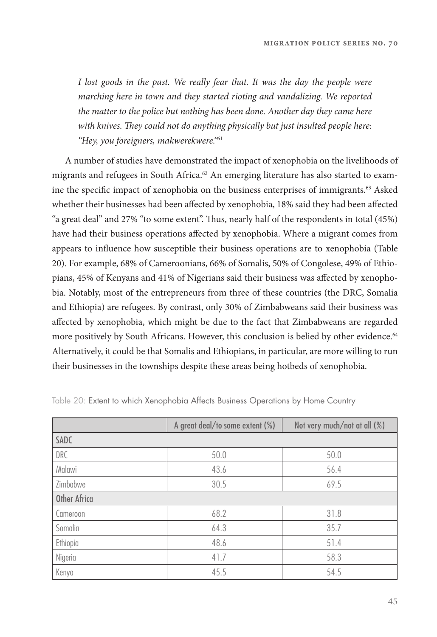I lost goods in the past. We really fear that. It was the day the people were marching here in town and they started rioting and vandalizing. We reported the matter to the police but nothing has been done. Another day they came here with knives. They could not do anything physically but just insulted people here: "Hey, you foreigners, makwerekwere."<sup>61</sup>

A number of studies have demonstrated the impact of xenophobia on the livelihoods of migrants and refugees in South Africa.<sup>62</sup> An emerging literature has also started to examine the specific impact of xenophobia on the business enterprises of immigrants.<sup>63</sup> Asked whether their businesses had been affected by xenophobia, 18% said they had been affected "a great deal" and 27% "to some extent". Thus, nearly half of the respondents in total (45%) have had their business operations affected by xenophobia. Where a migrant comes from appears to influence how susceptible their business operations are to xenophobia (Table 20). For example, 68% of Cameroonians, 66% of Somalis, 50% of Congolese, 49% of Ethiopians, 45% of Kenyans and 41% of Nigerians said their business was affected by xenophobia. Notably, most of the entrepreneurs from three of these countries (the DRC, Somalia and Ethiopia) are refugees. By contrast, only 30% of Zimbabweans said their business was affected by xenophobia, which might be due to the fact that Zimbabweans are regarded more positively by South Africans. However, this conclusion is belied by other evidence.<sup>64</sup> Alternatively, it could be that Somalis and Ethiopians, in particular, are more willing to run their businesses in the townships despite these areas being hotbeds of xenophobia.

|                     | A great deal/to some extent (%) | Not very much/not at all (%) |
|---------------------|---------------------------------|------------------------------|
| <b>SADC</b>         |                                 |                              |
| <b>DRC</b>          | 50.0                            | 50.0                         |
| Malawi              | 43.6                            | 56.4                         |
| Zimbabwe            | 30.5                            | 69.5                         |
| <b>Other Africa</b> |                                 |                              |
| Cameroon            | 68.2                            | 31.8                         |
| Somalia             | 64.3                            | 35.7                         |
| Ethiopia            | 48.6                            | 51.4                         |
| Nigeria             | 41.7                            | 58.3                         |
| Kenya               | 45.5                            | 54.5                         |

Table 20: Extent to which Xenophobia Affects Business Operations by Home Country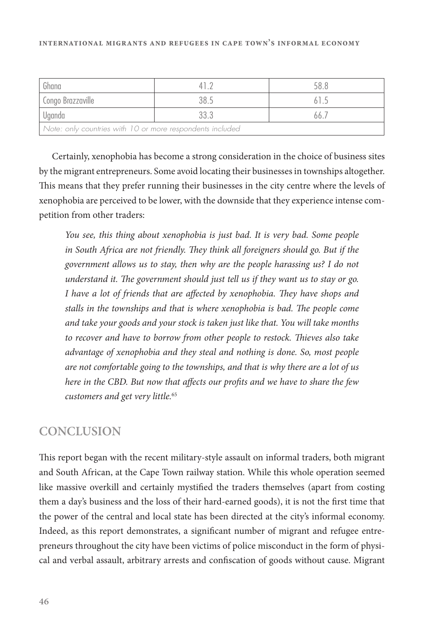| Ghana                                                     |  |  |  |  |  |
|-----------------------------------------------------------|--|--|--|--|--|
| Congo Brazzaville                                         |  |  |  |  |  |
| Uganda                                                    |  |  |  |  |  |
| Note: only countries with 10 or more respondents included |  |  |  |  |  |

Certainly, xenophobia has become a strong consideration in the choice of business sites by the migrant entrepreneurs. Some avoid locating their businesses in townships altogether. This means that they prefer running their businesses in the city centre where the levels of xenophobia are perceived to be lower, with the downside that they experience intense competition from other traders:

You see, this thing about xenophobia is just bad. It is very bad. Some people in South Africa are not friendly. They think all foreigners should go. But if the government allows us to stay, then why are the people harassing us? I do not understand it. The government should just tell us if they want us to stay or go. I have a lot of friends that are affected by xenophobia. They have shops and stalls in the townships and that is where xenophobia is bad. The people come and take your goods and your stock is taken just like that. You will take months to recover and have to borrow from other people to restock. Thieves also take advantage of xenophobia and they steal and nothing is done. So, most people are not comfortable going to the townships, and that is why there are a lot of us here in the CBD. But now that affects our profits and we have to share the few customers and get very little.<sup>65</sup>

#### **CONCLUSION**

This report began with the recent military-style assault on informal traders, both migrant and South African, at the Cape Town railway station. While this whole operation seemed like massive overkill and certainly mystified the traders themselves (apart from costing them a day's business and the loss of their hard-earned goods), it is not the first time that the power of the central and local state has been directed at the city's informal economy. Indeed, as this report demonstrates, a significant number of migrant and refugee entrepreneurs throughout the city have been victims of police misconduct in the form of physical and verbal assault, arbitrary arrests and confiscation of goods without cause. Migrant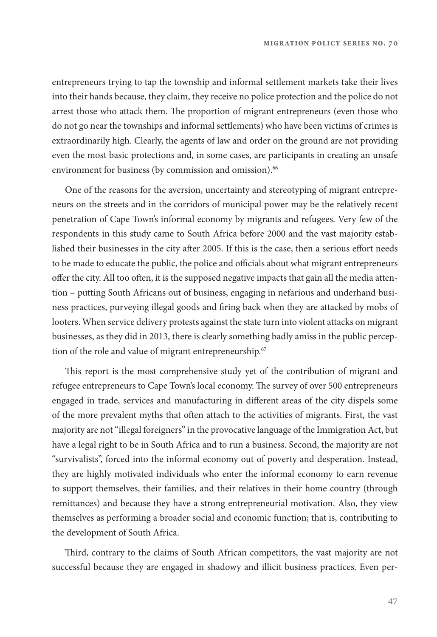entrepreneurs trying to tap the township and informal settlement markets take their lives into their hands because, they claim, they receive no police protection and the police do not arrest those who attack them. The proportion of migrant entrepreneurs (even those who do not go near the townships and informal settlements) who have been victims of crimes is extraordinarily high. Clearly, the agents of law and order on the ground are not providing even the most basic protections and, in some cases, are participants in creating an unsafe environment for business (by commission and omission).<sup>66</sup>

One of the reasons for the aversion, uncertainty and stereotyping of migrant entrepreneurs on the streets and in the corridors of municipal power may be the relatively recent penetration of Cape Town's informal economy by migrants and refugees. Very few of the respondents in this study came to South Africa before 2000 and the vast majority established their businesses in the city after 2005. If this is the case, then a serious effort needs to be made to educate the public, the police and officials about what migrant entrepreneurs offer the city. All too often, it is the supposed negative impacts that gain all the media attention – putting South Africans out of business, engaging in nefarious and underhand business practices, purveying illegal goods and firing back when they are attacked by mobs of looters. When service delivery protests against the state turn into violent attacks on migrant businesses, as they did in 2013, there is clearly something badly amiss in the public perception of the role and value of migrant entrepreneurship.<sup>67</sup>

This report is the most comprehensive study yet of the contribution of migrant and refugee entrepreneurs to Cape Town's local economy. The survey of over 500 entrepreneurs engaged in trade, services and manufacturing in different areas of the city dispels some of the more prevalent myths that often attach to the activities of migrants. First, the vast majority are not "illegal foreigners" in the provocative language of the Immigration Act, but have a legal right to be in South Africa and to run a business. Second, the majority are not "survivalists", forced into the informal economy out of poverty and desperation. Instead, they are highly motivated individuals who enter the informal economy to earn revenue to support themselves, their families, and their relatives in their home country (through remittances) and because they have a strong entrepreneurial motivation. Also, they view themselves as performing a broader social and economic function; that is, contributing to the development of South Africa.

Third, contrary to the claims of South African competitors, the vast majority are not successful because they are engaged in shadowy and illicit business practices. Even per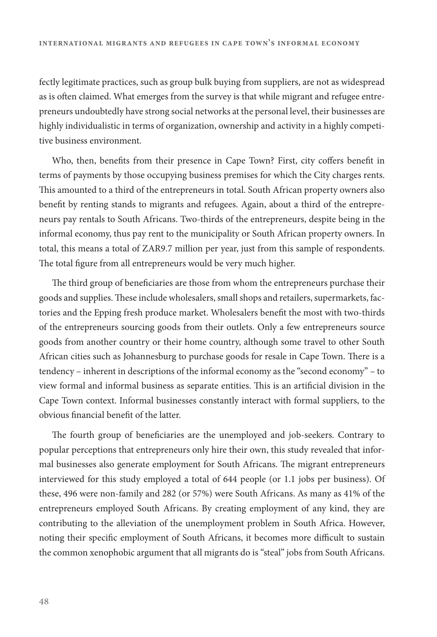fectly legitimate practices, such as group bulk buying from suppliers, are not as widespread as is often claimed. What emerges from the survey is that while migrant and refugee entrepreneurs undoubtedly have strong social networks at the personal level, their businesses are highly individualistic in terms of organization, ownership and activity in a highly competitive business environment.

Who, then, benefits from their presence in Cape Town? First, city coffers benefit in terms of payments by those occupying business premises for which the City charges rents. This amounted to a third of the entrepreneurs in total. South African property owners also benefit by renting stands to migrants and refugees. Again, about a third of the entrepreneurs pay rentals to South Africans. Two-thirds of the entrepreneurs, despite being in the informal economy, thus pay rent to the municipality or South African property owners. In total, this means a total of ZAR9.7 million per year, just from this sample of respondents. The total figure from all entrepreneurs would be very much higher.

The third group of beneficiaries are those from whom the entrepreneurs purchase their goods and supplies. These include wholesalers, small shops and retailers, supermarkets, factories and the Epping fresh produce market. Wholesalers benefit the most with two-thirds of the entrepreneurs sourcing goods from their outlets. Only a few entrepreneurs source goods from another country or their home country, although some travel to other South African cities such as Johannesburg to purchase goods for resale in Cape Town. There is a tendency – inherent in descriptions of the informal economy as the "second economy" – to view formal and informal business as separate entities. This is an artificial division in the Cape Town context. Informal businesses constantly interact with formal suppliers, to the obvious financial benefit of the latter.

The fourth group of beneficiaries are the unemployed and job-seekers. Contrary to popular perceptions that entrepreneurs only hire their own, this study revealed that informal businesses also generate employment for South Africans. The migrant entrepreneurs interviewed for this study employed a total of 644 people (or 1.1 jobs per business). Of these, 496 were non-family and 282 (or 57%) were South Africans. As many as 41% of the entrepreneurs employed South Africans. By creating employment of any kind, they are contributing to the alleviation of the unemployment problem in South Africa. However, noting their specific employment of South Africans, it becomes more difficult to sustain the common xenophobic argument that all migrants do is "steal" jobs from South Africans.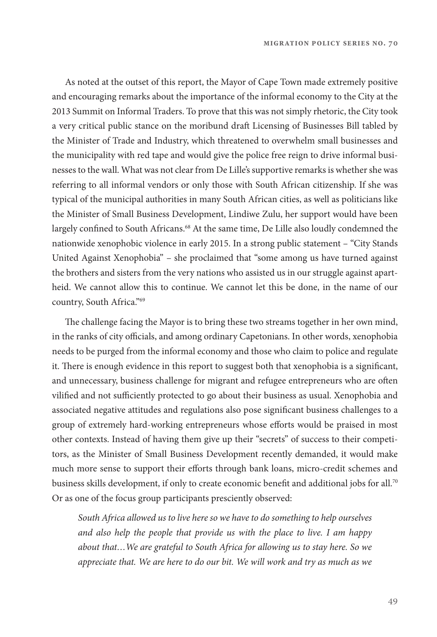As noted at the outset of this report, the Mayor of Cape Town made extremely positive and encouraging remarks about the importance of the informal economy to the City at the 2013 Summit on Informal Traders. To prove that this was not simply rhetoric, the City took a very critical public stance on the moribund draft Licensing of Businesses Bill tabled by the Minister of Trade and Industry, which threatened to overwhelm small businesses and the municipality with red tape and would give the police free reign to drive informal businesses to the wall. What was not clear from De Lille's supportive remarks is whether she was referring to all informal vendors or only those with South African citizenship. If she was typical of the municipal authorities in many South African cities, as well as politicians like the Minister of Small Business Development, Lindiwe Zulu, her support would have been largely confined to South Africans.<sup>68</sup> At the same time, De Lille also loudly condemned the nationwide xenophobic violence in early 2015. In a strong public statement – "City Stands United Against Xenophobia" – she proclaimed that "some among us have turned against the brothers and sisters from the very nations who assisted us in our struggle against apartheid. We cannot allow this to continue. We cannot let this be done, in the name of our country, South Africa."69

The challenge facing the Mayor is to bring these two streams together in her own mind, in the ranks of city officials, and among ordinary Capetonians. In other words, xenophobia needs to be purged from the informal economy and those who claim to police and regulate it. There is enough evidence in this report to suggest both that xenophobia is a significant, and unnecessary, business challenge for migrant and refugee entrepreneurs who are often vilified and not sufficiently protected to go about their business as usual. Xenophobia and associated negative attitudes and regulations also pose significant business challenges to a group of extremely hard-working entrepreneurs whose efforts would be praised in most other contexts. Instead of having them give up their "secrets" of success to their competitors, as the Minister of Small Business Development recently demanded, it would make much more sense to support their efforts through bank loans, micro-credit schemes and business skills development, if only to create economic benefit and additional jobs for all.<sup>70</sup> Or as one of the focus group participants presciently observed:

South Africa allowed us to live here so we have to do something to help ourselves and also help the people that provide us with the place to live. I am happy about that…We are grateful to South Africa for allowing us to stay here. So we appreciate that. We are here to do our bit. We will work and try as much as we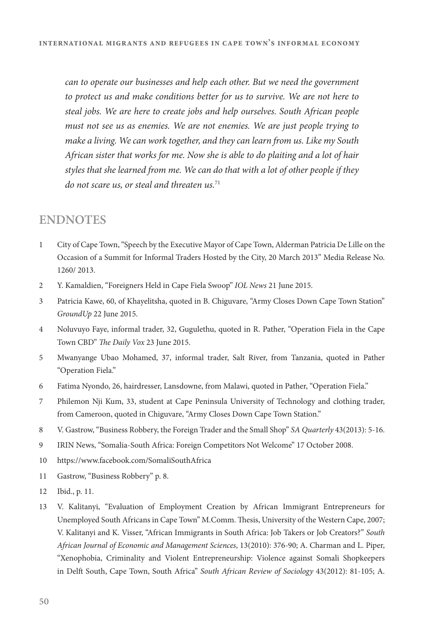can to operate our businesses and help each other. But we need the government to protect us and make conditions better for us to survive. We are not here to steal jobs. We are here to create jobs and help ourselves. South African people must not see us as enemies. We are not enemies. We are just people trying to make a living. We can work together, and they can learn from us. Like my South African sister that works for me. Now she is able to do plaiting and a lot of hair styles that she learned from me. We can do that with a lot of other people if they do not scare us, or steal and threaten  $us.^{71}$ 

#### **ENDNOTES**

- 1 City of Cape Town, "Speech by the Executive Mayor of Cape Town, Alderman Patricia De Lille on the Occasion of a Summit for Informal Traders Hosted by the City, 20 March 2013" Media Release No. 1260/ 2013.
- 2 Y. Kamaldien, "Foreigners Held in Cape Fiela Swoop" IOL News 21 June 2015.
- 3 Patricia Kawe, 60, of Khayelitsha, quoted in B. Chiguvare, "Army Closes Down Cape Town Station" GroundUp 22 June 2015.
- 4 Noluvuyo Faye, informal trader, 32, Gugulethu, quoted in R. Pather, "Operation Fiela in the Cape Town CBD" The Daily Vox 23 June 2015.
- 5 Mwanyange Ubao Mohamed, 37, informal trader, Salt River, from Tanzania, quoted in Pather "Operation Fiela."
- 6 Fatima Nyondo, 26, hairdresser, Lansdowne, from Malawi, quoted in Pather, "Operation Fiela."
- 7 Philemon Nji Kum, 33, student at Cape Peninsula University of Technology and clothing trader, from Cameroon, quoted in Chiguvare, "Army Closes Down Cape Town Station."
- 8 V. Gastrow, "Business Robbery, the Foreign Trader and the Small Shop" SA Quarterly 43(2013): 5-16.
- 9 IRIN News, "Somalia-South Africa: Foreign Competitors Not Welcome" 17 October 2008.
- 10 https://www.facebook.com/SomaliSouthAfrica
- 11 Gastrow, "Business Robbery" p. 8.
- 12 Ibid., p. 11.
- 13 V. Kalitanyi, "Evaluation of Employment Creation by African Immigrant Entrepreneurs for Unemployed South Africans in Cape Town" M.Comm. Thesis, University of the Western Cape, 2007; V. Kalitanyi and K. Visser, "African Immigrants in South Africa: Job Takers or Job Creators?" South African Journal of Economic and Management Sciences, 13(2010): 376-90; A. Charman and L. Piper, "Xenophobia, Criminality and Violent Entrepreneurship: Violence against Somali Shopkeepers in Delft South, Cape Town, South Africa" South African Review of Sociology 43(2012): 81-105; A.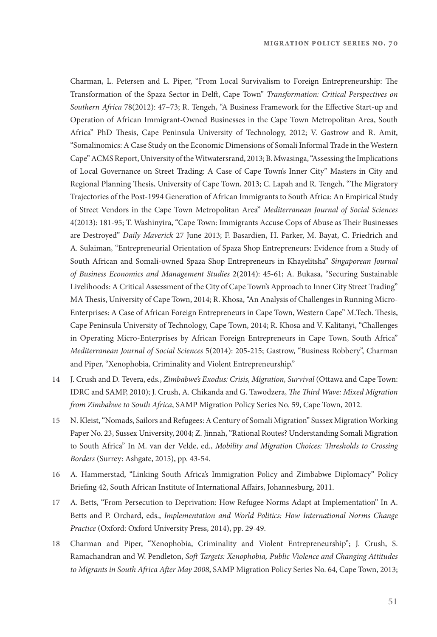Charman, L. Petersen and L. Piper, "From Local Survivalism to Foreign Entrepreneurship: The Transformation of the Spaza Sector in Delft, Cape Town" Transformation: Critical Perspectives on Southern Africa 78(2012): 47-73; R. Tengeh, "A Business Framework for the Effective Start-up and Operation of African Immigrant-Owned Businesses in the Cape Town Metropolitan Area, South Africa" PhD Thesis, Cape Peninsula University of Technology, 2012; V. Gastrow and R. Amit, "Somalinomics: A Case Study on the Economic Dimensions of Somali Informal Trade in the Western Cape" ACMS Report, University of the Witwatersrand, 2013; B. Mwasinga, "Assessing the Implications of Local Governance on Street Trading: A Case of Cape Town's Inner City" Masters in City and Regional Planning Thesis, University of Cape Town, 2013; C. Lapah and R. Tengeh, "The Migratory Trajectories of the Post-1994 Generation of African Immigrants to South Africa: An Empirical Study of Street Vendors in the Cape Town Metropolitan Area" Mediterranean Journal of Social Sciences 4(2013): 181-95; T. Washinyira, "Cape Town: Immigrants Accuse Cops of Abuse as Their Businesses are Destroyed" Daily Maverick 27 June 2013; F. Basardien, H. Parker, M. Bayat, C. Friedrich and A. Sulaiman, "Entrepreneurial Orientation of Spaza Shop Entrepreneurs: Evidence from a Study of South African and Somali-owned Spaza Shop Entrepreneurs in Khayelitsha" Singaporean Journal of Business Economics and Management Studies 2(2014): 45-61; A. Bukasa, "Securing Sustainable Livelihoods: A Critical Assessment of the City of Cape Town's Approach to Inner City Street Trading" MA Thesis, University of Cape Town, 2014; R. Khosa, "An Analysis of Challenges in Running Micro-Enterprises: A Case of African Foreign Entrepreneurs in Cape Town, Western Cape" M.Tech. Thesis, Cape Peninsula University of Technology, Cape Town, 2014; R. Khosa and V. Kalitanyi, "Challenges in Operating Micro-Enterprises by African Foreign Entrepreneurs in Cape Town, South Africa" Mediterranean Journal of Social Sciences 5(2014): 205-215; Gastrow, "Business Robbery", Charman and Piper, "Xenophobia, Criminality and Violent Entrepreneurship."

- 14 J. Crush and D. Tevera, eds., Zimbabwe's Exodus: Crisis, Migration, Survival (Ottawa and Cape Town: IDRC and SAMP, 2010); J. Crush, A. Chikanda and G. Tawodzera, The Third Wave: Mixed Migration from Zimbabwe to South Africa, SAMP Migration Policy Series No. 59, Cape Town, 2012.
- 15 N. Kleist, "Nomads, Sailors and Refugees: A Century of Somali Migration" Sussex Migration Working Paper No. 23, Sussex University, 2004; Z. Jinnah, "Rational Routes? Understanding Somali Migration to South Africa" In M. van der Velde, ed., Mobility and Migration Choices: Thresholds to Crossing Borders (Surrey: Ashgate, 2015), pp. 43-54.
- 16 A. Hammerstad, "Linking South Africa's Immigration Policy and Zimbabwe Diplomacy" Policy Briefing 42, South African Institute of International Affairs, Johannesburg, 2011.
- 17 A. Betts, "From Persecution to Deprivation: How Refugee Norms Adapt at Implementation" In A. Betts and P. Orchard, eds., Implementation and World Politics: How International Norms Change Practice (Oxford: Oxford University Press, 2014), pp. 29-49.
- 18 Charman and Piper, "Xenophobia, Criminality and Violent Entrepreneurship"; J. Crush, S. Ramachandran and W. Pendleton, Soft Targets: Xenophobia, Public Violence and Changing Attitudes to Migrants in South Africa After May 2008, SAMP Migration Policy Series No. 64, Cape Town, 2013;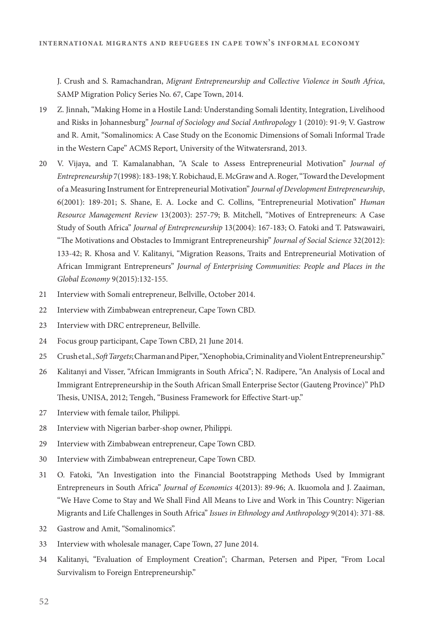J. Crush and S. Ramachandran, Migrant Entrepreneurship and Collective Violence in South Africa, SAMP Migration Policy Series No. 67, Cape Town, 2014.

- 19 Z. Jinnah, "Making Home in a Hostile Land: Understanding Somali Identity, Integration, Livelihood and Risks in Johannesburg" Journal of Sociology and Social Anthropology 1 (2010): 91-9; V. Gastrow and R. Amit, "Somalinomics: A Case Study on the Economic Dimensions of Somali Informal Trade in the Western Cape" ACMS Report, University of the Witwatersrand, 2013.
- 20 V. Vijaya, and T. Kamalanabhan, "A Scale to Assess Entrepreneurial Motivation" Journal of Entrepreneurship 7(1998): 183-198; Y. Robichaud, E. McGraw and A. Roger, "Toward the Development of a Measuring Instrument for Entrepreneurial Motivation" Journal of Development Entrepreneurship, 6(2001): 189-201; S. Shane, E. A. Locke and C. Collins, "Entrepreneurial Motivation" Human Resource Management Review 13(2003): 257-79; B. Mitchell, "Motives of Entrepreneurs: A Case Study of South Africa" Journal of Entrepreneurship 13(2004): 167-183; O. Fatoki and T. Patswawairi, "The Motivations and Obstacles to Immigrant Entrepreneurship" Journal of Social Science 32(2012): 133-42; R. Khosa and V. Kalitanyi, "Migration Reasons, Traits and Entrepreneurial Motivation of African Immigrant Entrepreneurs" Journal of Enterprising Communities: People and Places in the Global Economy 9(2015):132-155.
- 21 Interview with Somali entrepreneur, Bellville, October 2014.
- 22 Interview with Zimbabwean entrepreneur, Cape Town CBD.
- 23 Interview with DRC entrepreneur, Bellville.
- 24 Focus group participant, Cape Town CBD, 21 June 2014.
- 25 Crush et al., Soft Targets; Charman and Piper, "Xenophobia, Criminality and Violent Entrepreneurship."
- 26 Kalitanyi and Visser, "African Immigrants in South Africa"; N. Radipere, "An Analysis of Local and Immigrant Entrepreneurship in the South African Small Enterprise Sector (Gauteng Province)" PhD Thesis, UNISA, 2012; Tengeh, "Business Framework for Effective Start-up."
- 27 Interview with female tailor, Philippi.
- 28 Interview with Nigerian barber-shop owner, Philippi.
- 29 Interview with Zimbabwean entrepreneur, Cape Town CBD.
- 30 Interview with Zimbabwean entrepreneur, Cape Town CBD.
- 31 O. Fatoki, "An Investigation into the Financial Bootstrapping Methods Used by Immigrant Entrepreneurs in South Africa" *Journal of Economics* 4(2013): 89-96; A. Ikuomola and J. Zaaiman, "We Have Come to Stay and We Shall Find All Means to Live and Work in This Country: Nigerian Migrants and Life Challenges in South Africa" Issues in Ethnology and Anthropology 9(2014): 371-88.
- 32 Gastrow and Amit, "Somalinomics".
- 33 Interview with wholesale manager, Cape Town, 27 June 2014.
- 34 Kalitanyi, "Evaluation of Employment Creation"; Charman, Petersen and Piper, "From Local Survivalism to Foreign Entrepreneurship."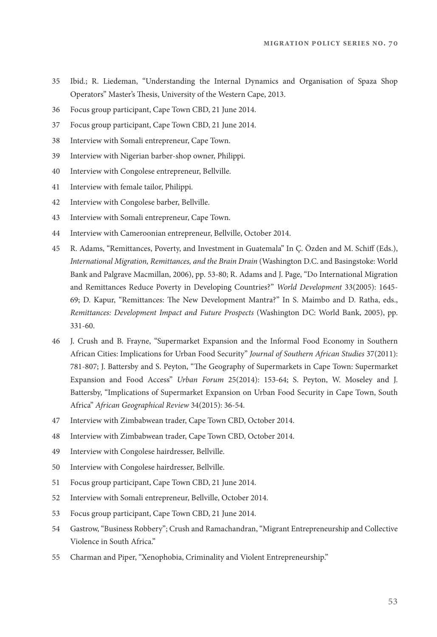- 35 Ibid.; R. Liedeman, "Understanding the Internal Dynamics and Organisation of Spaza Shop Operators" Master's Thesis, University of the Western Cape, 2013.
- 36 Focus group participant, Cape Town CBD, 21 June 2014.
- 37 Focus group participant, Cape Town CBD, 21 June 2014.
- 38 Interview with Somali entrepreneur, Cape Town.
- 39 Interview with Nigerian barber-shop owner, Philippi.
- 40 Interview with Congolese entrepreneur, Bellville.
- 41 Interview with female tailor, Philippi.
- 42 Interview with Congolese barber, Bellville.
- 43 Interview with Somali entrepreneur, Cape Town.
- 44 Interview with Cameroonian entrepreneur, Bellville, October 2014.
- 45 R. Adams, "Remittances, Poverty, and Investment in Guatemala" In C. Özden and M. Schiff (Eds.), International Migration, Remittances, and the Brain Drain (Washington D.C. and Basingstoke: World Bank and Palgrave Macmillan, 2006), pp. 53-80; R. Adams and J. Page, "Do International Migration and Remittances Reduce Poverty in Developing Countries?" World Development 33(2005): 1645- 69; D. Kapur, "Remittances: The New Development Mantra?" In S. Maimbo and D. Ratha, eds., Remittances: Development Impact and Future Prospects (Washington DC: World Bank, 2005), pp. 331-60.
- 46 J. Crush and B. Frayne, "Supermarket Expansion and the Informal Food Economy in Southern African Cities: Implications for Urban Food Security" Journal of Southern African Studies 37(2011): 781-807; J. Battersby and S. Peyton, "The Geography of Supermarkets in Cape Town: Supermarket Expansion and Food Access" Urban Forum 25(2014): 153-64; S. Peyton, W. Moseley and J. Battersby, "Implications of Supermarket Expansion on Urban Food Security in Cape Town, South Africa" African Geographical Review 34(2015): 36-54.
- 47 Interview with Zimbabwean trader, Cape Town CBD, October 2014.
- 48 Interview with Zimbabwean trader, Cape Town CBD, October 2014.
- 49 Interview with Congolese hairdresser, Bellville.
- 50 Interview with Congolese hairdresser, Bellville.
- 51 Focus group participant, Cape Town CBD, 21 June 2014.
- 52 Interview with Somali entrepreneur, Bellville, October 2014.
- 53 Focus group participant, Cape Town CBD, 21 June 2014.
- 54 Gastrow, "Business Robbery"; Crush and Ramachandran, "Migrant Entrepreneurship and Collective Violence in South Africa."
- 55 Charman and Piper, "Xenophobia, Criminality and Violent Entrepreneurship."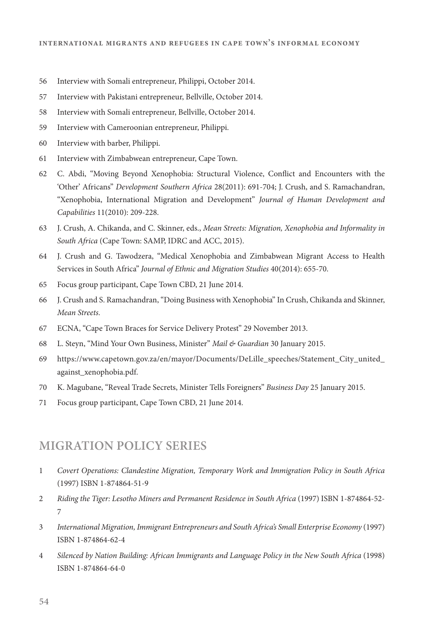- 56 Interview with Somali entrepreneur, Philippi, October 2014.
- 57 Interview with Pakistani entrepreneur, Bellville, October 2014.
- 58 Interview with Somali entrepreneur, Bellville, October 2014.
- 59 Interview with Cameroonian entrepreneur, Philippi.
- 60 Interview with barber, Philippi.
- 61 Interview with Zimbabwean entrepreneur, Cape Town.
- 62 C. Abdi, "Moving Beyond Xenophobia: Structural Violence, Conflict and Encounters with the 'Other' Africans" Development Southern Africa 28(2011): 691-704; J. Crush, and S. Ramachandran, "Xenophobia, International Migration and Development" Journal of Human Development and Capabilities 11(2010): 209-228.
- 63 J. Crush, A. Chikanda, and C. Skinner, eds., Mean Streets: Migration, Xenophobia and Informality in South Africa (Cape Town: SAMP, IDRC and ACC, 2015).
- 64 J. Crush and G. Tawodzera, "Medical Xenophobia and Zimbabwean Migrant Access to Health Services in South Africa" Journal of Ethnic and Migration Studies 40(2014): 655-70.
- 65 Focus group participant, Cape Town CBD, 21 June 2014.
- 66 J. Crush and S. Ramachandran, "Doing Business with Xenophobia" In Crush, Chikanda and Skinner, Mean Streets.
- 67 ECNA, "Cape Town Braces for Service Delivery Protest" 29 November 2013.
- 68 L. Steyn, "Mind Your Own Business, Minister" Mail & Guardian 30 January 2015.
- 69 https://www.capetown.gov.za/en/mayor/Documents/DeLille\_speeches/Statement\_City\_united\_ against\_xenophobia.pdf.
- 70 K. Magubane, "Reveal Trade Secrets, Minister Tells Foreigners" Business Day 25 January 2015.
- 71 Focus group participant, Cape Town CBD, 21 June 2014.

#### **MIGRATION POLICY SERIES**

- 1 Covert Operations: Clandestine Migration, Temporary Work and Immigration Policy in South Africa (1997) ISBN 1-874864-51-9
- 2 Riding the Tiger: Lesotho Miners and Permanent Residence in South Africa (1997) ISBN 1-874864-52- 7
- 3 International Migration, Immigrant Entrepreneurs and South Africa's Small Enterprise Economy (1997) ISBN 1-874864-62-4
- 4 Silenced by Nation Building: African Immigrants and Language Policy in the New South Africa (1998) ISBN 1-874864-64-0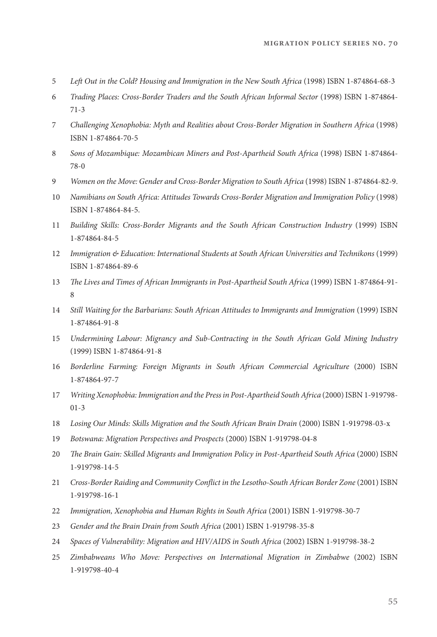- 5 Left Out in the Cold? Housing and Immigration in the New South Africa (1998) ISBN 1-874864-68-3
- 6 Trading Places: Cross-Border Traders and the South African Informal Sector (1998) ISBN 1-874864- 71-3
- 7 Challenging Xenophobia: Myth and Realities about Cross-Border Migration in Southern Africa (1998) ISBN 1-874864-70-5
- 8 Sons of Mozambique: Mozambican Miners and Post-Apartheid South Africa (1998) ISBN 1-874864- 78-0
- 9 Women on the Move: Gender and Cross-Border Migration to South Africa (1998) ISBN 1-874864-82-9.
- 10 Namibians on South Africa: Attitudes Towards Cross-Border Migration and Immigration Policy (1998) ISBN 1-874864-84-5.
- 11 Building Skills: Cross-Border Migrants and the South African Construction Industry (1999) ISBN 1-874864-84-5
- 12 Immigration & Education: International Students at South African Universities and Technikons (1999) ISBN 1-874864-89-6
- 13 !e Lives and Times of African Immigrants in Post-Apartheid South Africa (1999) ISBN 1-874864-91- 8
- 14 Still Waiting for the Barbarians: South African Attitudes to Immigrants and Immigration (1999) ISBN 1-874864-91-8
- 15 Undermining Labour: Migrancy and Sub-Contracting in the South African Gold Mining Industry (1999) ISBN 1-874864-91-8
- 16 Borderline Farming: Foreign Migrants in South African Commercial Agriculture (2000) ISBN 1-874864-97-7
- 17 Writing Xenophobia: Immigration and the Press in Post-Apartheid South Africa (2000) ISBN 1-919798- 01-3
- 18 Losing Our Minds: Skills Migration and the South African Brain Drain (2000) ISBN 1-919798-03-x
- 19 Botswana: Migration Perspectives and Prospects (2000) ISBN 1-919798-04-8
- 20 !e Brain Gain: Skilled Migrants and Immigration Policy in Post-Apartheid South Africa (2000) ISBN 1-919798-14-5
- 21 Cross-Border Raiding and Community Conflict in the Lesotho-South African Border Zone (2001) ISBN 1-919798-16-1
- 22 Immigration, Xenophobia and Human Rights in South Africa (2001) ISBN 1-919798-30-7
- 23 Gender and the Brain Drain from South Africa (2001) ISBN 1-919798-35-8
- 24 Spaces of Vulnerability: Migration and HIV/AIDS in South Africa (2002) ISBN 1-919798-38-2
- 25 Zimbabweans Who Move: Perspectives on International Migration in Zimbabwe (2002) ISBN 1-919798-40-4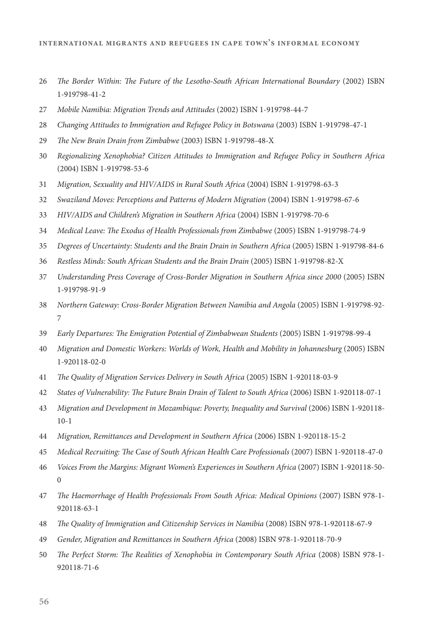- 26 The Border Within: The Future of the Lesotho-South African International Boundary (2002) ISBN 1-919798-41-2
- 27 Mobile Namibia: Migration Trends and Attitudes (2002) ISBN 1-919798-44-7
- 28 Changing Attitudes to Immigration and Refugee Policy in Botswana (2003) ISBN 1-919798-47-1
- 29 The New Brain Drain from Zimbabwe (2003) ISBN 1-919798-48-X
- 30 Regionalizing Xenophobia? Citizen Attitudes to Immigration and Refugee Policy in Southern Africa (2004) ISBN 1-919798-53-6
- 31 Migration, Sexuality and HIV/AIDS in Rural South Africa (2004) ISBN 1-919798-63-3
- 32 Swaziland Moves: Perceptions and Patterns of Modern Migration (2004) ISBN 1-919798-67-6
- 33 HIV/AIDS and Children's Migration in Southern Africa (2004) ISBN 1-919798-70-6
- 34 Medical Leave: The Exodus of Health Professionals from Zimbabwe (2005) ISBN 1-919798-74-9
- 35 Degrees of Uncertainty: Students and the Brain Drain in Southern Africa (2005) ISBN 1-919798-84-6
- 36 Restless Minds: South African Students and the Brain Drain (2005) ISBN 1-919798-82-X
- 37 Understanding Press Coverage of Cross-Border Migration in Southern Africa since 2000 (2005) ISBN 1-919798-91-9
- 38 Northern Gateway: Cross-Border Migration Between Namibia and Angola (2005) ISBN 1-919798-92- 7
- 39 Early Departures: The Emigration Potential of Zimbabwean Students (2005) ISBN 1-919798-99-4
- 40 Migration and Domestic Workers: Worlds of Work, Health and Mobility in Johannesburg (2005) ISBN 1-920118-02-0
- 41 The Quality of Migration Services Delivery in South Africa (2005) ISBN 1-920118-03-9
- 42 States of Vulnerability: The Future Brain Drain of Talent to South Africa (2006) ISBN 1-920118-07-1
- 43 Migration and Development in Mozambique: Poverty, Inequality and Survival (2006) ISBN 1-920118- 10-1
- 44 Migration, Remittances and Development in Southern Africa (2006) ISBN 1-920118-15-2
- 45 Medical Recruiting: The Case of South African Health Care Professionals (2007) ISBN 1-920118-47-0
- 46 Voices From the Margins: Migrant Women's Experiences in Southern Africa (2007) ISBN 1-920118-50- 0
- 47 The Haemorrhage of Health Professionals From South Africa: Medical Opinions (2007) ISBN 978-1-920118-63-1
- 48 !e Quality of Immigration and Citizenship Services in Namibia (2008) ISBN 978-1-920118-67-9
- 49 Gender, Migration and Remittances in Southern Africa (2008) ISBN 978-1-920118-70-9
- 50 The Perfect Storm: The Realities of Xenophobia in Contemporary South Africa (2008) ISBN 978-1-920118-71-6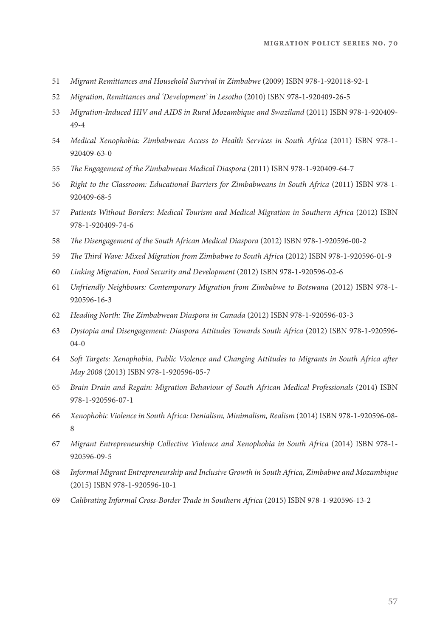- 51 Migrant Remittances and Household Survival in Zimbabwe (2009) ISBN 978-1-920118-92-1
- 52 Migration, Remittances and 'Development' in Lesotho (2010) ISBN 978-1-920409-26-5
- 53 Migration-Induced HIV and AIDS in Rural Mozambique and Swaziland (2011) ISBN 978-1-920409- 49-4
- 54 Medical Xenophobia: Zimbabwean Access to Health Services in South Africa (2011) ISBN 978-1- 920409-63-0
- 55 The Engagement of the Zimbabwean Medical Diaspora (2011) ISBN 978-1-920409-64-7
- 56 Right to the Classroom: Educational Barriers for Zimbabweans in South Africa (2011) ISBN 978-1- 920409-68-5
- 57 Patients Without Borders: Medical Tourism and Medical Migration in Southern Africa (2012) ISBN 978-1-920409-74-6
- 58 The Disengagement of the South African Medical Diaspora (2012) ISBN 978-1-920596-00-2
- 59 The Third Wave: Mixed Migration from Zimbabwe to South Africa (2012) ISBN 978-1-920596-01-9
- 60 Linking Migration, Food Security and Development (2012) ISBN 978-1-920596-02-6
- 61 Unfriendly Neighbours: Contemporary Migration from Zimbabwe to Botswana (2012) ISBN 978-1- 920596-16-3
- 62 Heading North: The Zimbabwean Diaspora in Canada (2012) ISBN 978-1-920596-03-3
- 63 Dystopia and Disengagement: Diaspora Attitudes Towards South Africa (2012) ISBN 978-1-920596- 04-0
- 64 Soft Targets: Xenophobia, Public Violence and Changing Attitudes to Migrants in South Africa after May 2008 (2013) ISBN 978-1-920596-05-7
- 65 Brain Drain and Regain: Migration Behaviour of South African Medical Professionals (2014) ISBN 978-1-920596-07-1
- 66 Xenophobic Violence in South Africa: Denialism, Minimalism, Realism (2014) ISBN 978-1-920596-08- 8
- 67 Migrant Entrepreneurship Collective Violence and Xenophobia in South Africa (2014) ISBN 978-1- 920596-09-5
- 68 Informal Migrant Entrepreneurship and Inclusive Growth in South Africa, Zimbabwe and Mozambique (2015) ISBN 978-1-920596-10-1
- 69 Calibrating Informal Cross-Border Trade in Southern Africa (2015) ISBN 978-1-920596-13-2